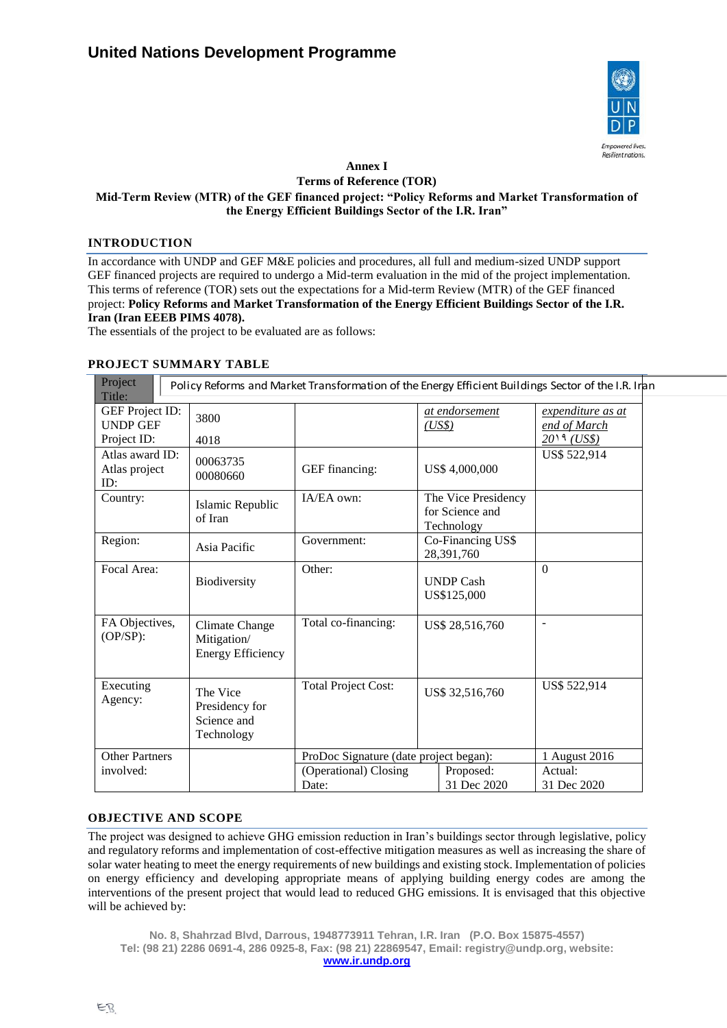

## **Annex I Terms of Reference (TOR) Mid-Term Review (MTR) of the GEF financed project: "Policy Reforms and Market Transformation of the Energy Efficient Buildings Sector of the I.R. Iran"**

## **INTRODUCTION**

In accordance with UNDP and GEF M&E policies and procedures, all full and medium-sized UNDP support GEF financed projects are required to undergo a Mid-term evaluation in the mid of the project implementation. This terms of reference (TOR) sets out the expectations for a Mid-term Review (MTR) of the GEF financed project: **Policy Reforms and Market Transformation of the Energy Efficient Buildings Sector of the I.R. Iran (Iran EEEB PIMS 4078).** 

The essentials of the project to be evaluated are as follows:

# **PROJECT SUMMARY TABLE**

| Project<br>Title:                                 |                                                                  | Policy Reforms and Market Transformation of the Energy Efficient Buildings Sector of the I.R. Iran |                 |                                 |                                                 |
|---------------------------------------------------|------------------------------------------------------------------|----------------------------------------------------------------------------------------------------|-----------------|---------------------------------|-------------------------------------------------|
| GEF Project ID:<br><b>UNDP GEF</b><br>Project ID: | 3800<br>4018                                                     |                                                                                                    |                 | at endorsement<br>(US\$)        | expenditure as at<br>end of March<br>2019 (USS) |
| Atlas award ID:<br>Atlas project<br>ID:           | 00063735<br>00080660                                             | GEF financing:                                                                                     |                 | US\$4,000,000                   | US\$ 522,914                                    |
| Country:                                          | Islamic Republic<br>of Iran                                      | IA/EA own:<br>The Vice Presidency<br>for Science and<br>Technology                                 |                 |                                 |                                                 |
| Region:                                           | Asia Pacific                                                     | Government:                                                                                        |                 | Co-Financing US\$<br>28,391,760 |                                                 |
| Focal Area:                                       | Biodiversity                                                     | Other:                                                                                             |                 | <b>UNDP Cash</b><br>US\$125,000 | $\Omega$                                        |
| FA Objectives,<br>$(OP/SP)$ :                     | <b>Climate Change</b><br>Mitigation/<br><b>Energy Efficiency</b> | Total co-financing:                                                                                | US\$ 28,516,760 |                                 | $\blacksquare$                                  |
| Executing<br>Agency:                              | The Vice<br>Presidency for<br>Science and<br>Technology          | <b>Total Project Cost:</b>                                                                         |                 | US\$ 32,516,760                 | US\$ 522,914                                    |
| <b>Other Partners</b>                             |                                                                  | ProDoc Signature (date project began):                                                             |                 |                                 | 1 August 2016                                   |
| involved:                                         |                                                                  | (Operational) Closing<br>Proposed:<br>31 Dec 2020<br>Date:                                         |                 |                                 | Actual:<br>31 Dec 2020                          |

#### **OBJECTIVE AND SCOPE**

The project was designed to achieve GHG emission reduction in Iran's buildings sector through legislative, policy and regulatory reforms and implementation of cost-effective mitigation measures as well as increasing the share of solar water heating to meet the energy requirements of new buildings and existing stock. Implementation of policies on energy efficiency and developing appropriate means of applying building energy codes are among the interventions of the present project that would lead to reduced GHG emissions. It is envisaged that this objective will be achieved by:

**No. 8, Shahrzad Blvd, Darrous, 1948773911 Tehran, I.R. Iran (P.O. Box 15875-4557) Tel: (98 21) 2286 0691-4, 286 0925-8, Fax: (98 21) 22869547, Email: registry@undp.org, website: [www.ir.undp.org](http://www.ir.undp.org/)**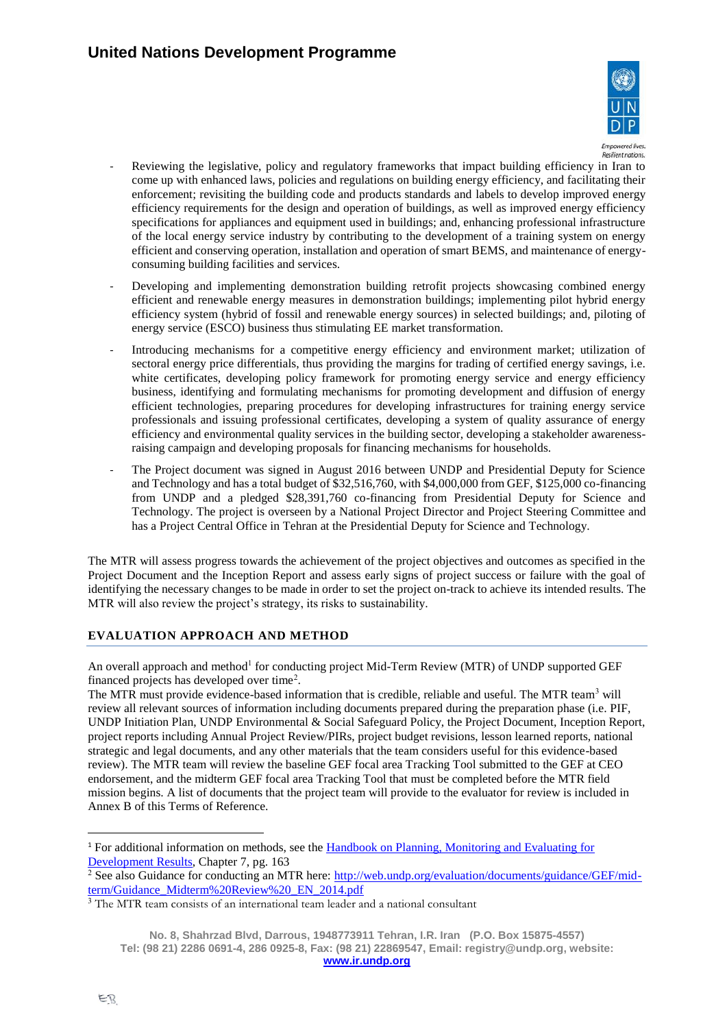

- Reviewing the legislative, policy and regulatory frameworks that impact building efficiency in Iran to come up with enhanced laws, policies and regulations on building energy efficiency, and facilitating their enforcement; revisiting the building code and products standards and labels to develop improved energy efficiency requirements for the design and operation of buildings, as well as improved energy efficiency specifications for appliances and equipment used in buildings; and, enhancing professional infrastructure of the local energy service industry by contributing to the development of a training system on energy efficient and conserving operation, installation and operation of smart BEMS, and maintenance of energyconsuming building facilities and services.
- Developing and implementing demonstration building retrofit projects showcasing combined energy efficient and renewable energy measures in demonstration buildings; implementing pilot hybrid energy efficiency system (hybrid of fossil and renewable energy sources) in selected buildings; and, piloting of energy service (ESCO) business thus stimulating EE market transformation.
- Introducing mechanisms for a competitive energy efficiency and environment market; utilization of sectoral energy price differentials, thus providing the margins for trading of certified energy savings, i.e. white certificates, developing policy framework for promoting energy service and energy efficiency business, identifying and formulating mechanisms for promoting development and diffusion of energy efficient technologies, preparing procedures for developing infrastructures for training energy service professionals and issuing professional certificates, developing a system of quality assurance of energy efficiency and environmental quality services in the building sector, developing a stakeholder awarenessraising campaign and developing proposals for financing mechanisms for households.
- The Project document was signed in August 2016 between UNDP and Presidential Deputy for Science and Technology and has a total budget of \$32,516,760, with \$4,000,000 from GEF, \$125,000 co-financing from UNDP and a pledged \$28,391,760 co-financing from Presidential Deputy for Science and Technology. The project is overseen by a National Project Director and Project Steering Committee and has a Project Central Office in Tehran at the Presidential Deputy for Science and Technology.

The MTR will assess progress towards the achievement of the project objectives and outcomes as specified in the Project Document and the Inception Report and assess early signs of project success or failure with the goal of identifying the necessary changes to be made in order to set the project on-track to achieve its intended results. The MTR will also review the project's strategy, its risks to sustainability.

# **EVALUATION APPROACH AND METHOD**

An overall approach and method<sup>1</sup> for conducting project Mid-Term Review (MTR) of UNDP supported GEF financed projects has developed over time<sup>2</sup>.

The MTR must provide evidence-based information that is credible, reliable and useful. The MTR team<sup>3</sup> will review all relevant sources of information including documents prepared during the preparation phase (i.e. PIF, UNDP Initiation Plan, UNDP Environmental & Social Safeguard Policy, the Project Document, Inception Report, project reports including Annual Project Review/PIRs, project budget revisions, lesson learned reports, national strategic and legal documents, and any other materials that the team considers useful for this evidence-based review). The MTR team will review the baseline GEF focal area Tracking Tool submitted to the GEF at CEO endorsement, and the midterm GEF focal area Tracking Tool that must be completed before the MTR field mission begins. A list of documents that the project team will provide to the evaluator for review is included in [Annex B](#page-19-0) of this Terms of Reference.

<sup>1</sup> For additional information on methods, see the [Handbook on Planning, Monitoring and Evaluating for](http://www.undp.org/evaluation/handbook)  [Development Results,](http://www.undp.org/evaluation/handbook) Chapter 7, pg. 163

<sup>&</sup>lt;sup>2</sup> See also Guidance for conducting an MTR here:  $\frac{http://web.undp.org/evaluation/documents/guidance/GET/mid-}$ [term/Guidance\\_Midterm%20Review%20\\_EN\\_2014.pdf](http://web.undp.org/evaluation/documents/guidance/GEF/mid-term/Guidance_Midterm%20Review%20_EN_2014.pdf)

<sup>&</sup>lt;sup>3</sup> The MTR team consists of an international team leader and a national consultant

**No. 8, Shahrzad Blvd, Darrous, 1948773911 Tehran, I.R. Iran (P.O. Box 15875-4557) Tel: (98 21) 2286 0691-4, 286 0925-8, Fax: (98 21) 22869547, Email: registry@undp.org, website: [www.ir.undp.org](http://www.ir.undp.org/)**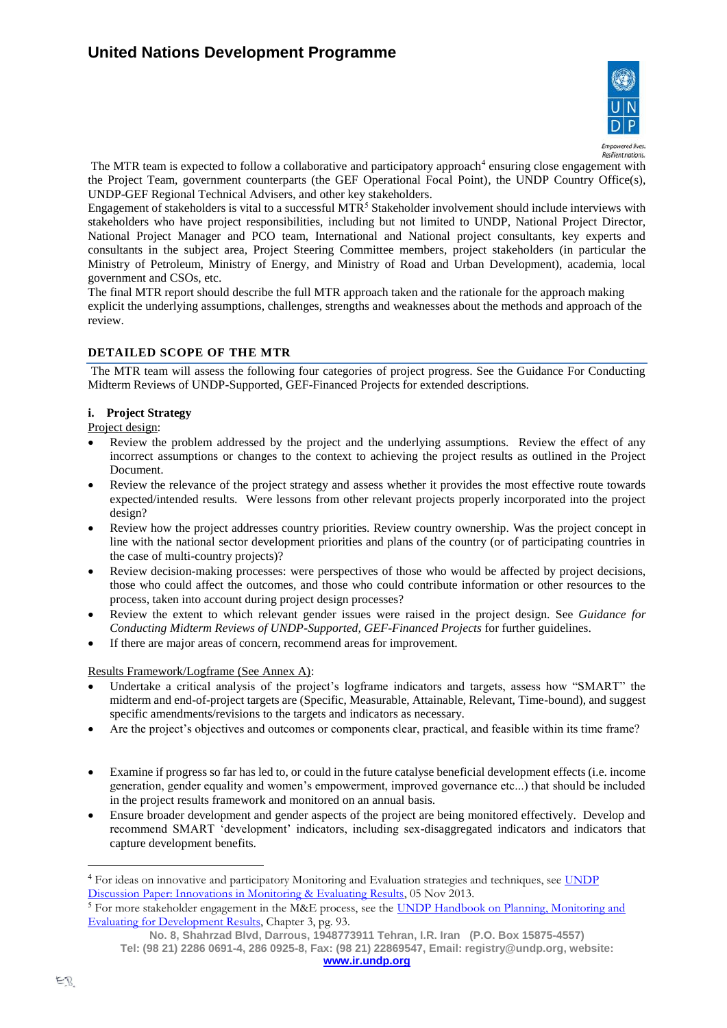

Resilient nations.

The MTR team is expected to follow a collaborative and participatory approach<sup>4</sup> ensuring close engagement with the Project Team, government counterparts (the GEF Operational Focal Point), the UNDP Country Office(s), UNDP-GEF Regional Technical Advisers, and other key stakeholders.

Engagement of stakeholders is vital to a successful MTR<sup>5</sup> Stakeholder involvement should include interviews with stakeholders who have project responsibilities, including but not limited to UNDP, National Project Director, National Project Manager and PCO team, International and National project consultants, key experts and consultants in the subject area, Project Steering Committee members, project stakeholders (in particular the Ministry of Petroleum, Ministry of Energy, and Ministry of Road and Urban Development), academia, local government and CSOs, etc.

The final MTR report should describe the full MTR approach taken and the rationale for the approach making explicit the underlying assumptions, challenges, strengths and weaknesses about the methods and approach of the review.

# **DETAILED SCOPE OF THE MTR**

The MTR team will assess the following four categories of project progress. See the Guidance For Conducting Midterm Reviews of UNDP-Supported, GEF-Financed Projects for extended descriptions.

### **i. Project Strategy**

Project design:

- Review the problem addressed by the project and the underlying assumptions. Review the effect of any incorrect assumptions or changes to the context to achieving the project results as outlined in the Project Document.
- Review the relevance of the project strategy and assess whether it provides the most effective route towards expected/intended results. Were lessons from other relevant projects properly incorporated into the project design?
- Review how the project addresses country priorities. Review country ownership. Was the project concept in line with the national sector development priorities and plans of the country (or of participating countries in the case of multi-country projects)?
- Review decision-making processes: were perspectives of those who would be affected by project decisions, those who could affect the outcomes, and those who could contribute information or other resources to the process, taken into account during project design processes?
- Review the extent to which relevant gender issues were raised in the project design. See *Guidance for Conducting Midterm Reviews of UNDP-Supported, GEF-Financed Projects* for further guidelines.
- If there are major areas of concern, recommend areas for improvement.

Results Framework/Logframe (See Annex A):

- Undertake a critical analysis of the project's logframe indicators and targets, assess how "SMART" the midterm and end-of-project targets are (Specific, Measurable, Attainable, Relevant, Time-bound), and suggest specific amendments/revisions to the targets and indicators as necessary.
- Are the project's objectives and outcomes or components clear, practical, and feasible within its time frame?
- Examine if progress so far has led to, or could in the future catalyse beneficial development effects (i.e. income generation, gender equality and women's empowerment, improved governance etc...) that should be included in the project results framework and monitored on an annual basis.
- Ensure broader development and gender aspects of the project are being monitored effectively. Develop and recommend SMART 'development' indicators, including sex-disaggregated indicators and indicators that capture development benefits.

<sup>&</sup>lt;sup>4</sup> For ideas on innovative and participatory Monitoring and Evaluation strategies and techniques, see *UNDP* [Discussion Paper: Innovations in Monitoring & Evaluating Results,](http://www.undp.org/content/undp/en/home/librarypage/capacity-building/discussion-paper--innovations-in-monitoring---evaluating-results/) 05 Nov 2013.

<sup>&</sup>lt;sup>5</sup> For more stakeholder engagement in the M&E process, see the UNDP Handbook on Planning, Monitoring and [Evaluating for Development Results,](http://www.undg.org/docs/11653/UNDP-PME-Handbook-(2009).pdf) Chapter 3, pg. 93.

**No. 8, Shahrzad Blvd, Darrous, 1948773911 Tehran, I.R. Iran (P.O. Box 15875-4557) Tel: (98 21) 2286 0691-4, 286 0925-8, Fax: (98 21) 22869547, Email: registry@undp.org, website:**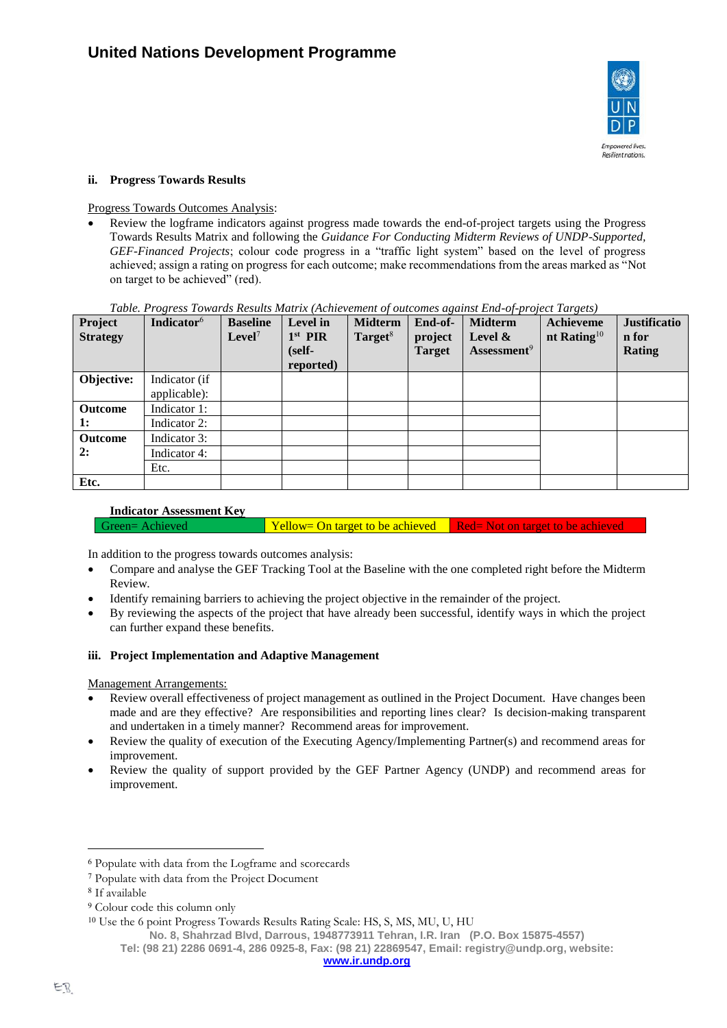

### **ii. Progress Towards Results**

Progress Towards Outcomes Analysis:

• Review the logframe indicators against progress made towards the end-of-project targets using the Progress Towards Results Matrix and following the *Guidance For Conducting Midterm Reviews of UNDP-Supported, GEF-Financed Projects*; colour code progress in a "traffic light system" based on the level of progress achieved; assign a rating on progress for each outcome; make recommendations from the areas marked as "Not on target to be achieved" (red).

#### *Table. Progress Towards Results Matrix (Achievement of outcomes against End-of-project Targets)*

| Project<br><b>Strategy</b> | Indicator <sup>6</sup>               | <b>Baseline</b><br>Level <sup>7</sup> | Level in<br>$1st$ PIR<br>(self-<br>reported) | <b>Midterm</b><br>Target <sup>8</sup> | End-of-<br>project<br><b>Target</b> | <b>Midterm</b><br>Level $\&$<br>Assessment <sup>9</sup> | Achieveme<br>nt Rating $10$ | <b>Justificatio</b><br>n for<br><b>Rating</b> |
|----------------------------|--------------------------------------|---------------------------------------|----------------------------------------------|---------------------------------------|-------------------------------------|---------------------------------------------------------|-----------------------------|-----------------------------------------------|
| Objective:                 | Indicator (if<br>applicable):        |                                       |                                              |                                       |                                     |                                                         |                             |                                               |
| Outcome<br>1:              | Indicator 1:<br>Indicator 2:         |                                       |                                              |                                       |                                     |                                                         |                             |                                               |
| Outcome<br>2:              | Indicator 3:<br>Indicator 4:<br>Etc. |                                       |                                              |                                       |                                     |                                                         |                             |                                               |
| Etc.                       |                                      |                                       |                                              |                                       |                                     |                                                         |                             |                                               |

#### **Indicator Assessment Key**

Green= Achieved Yellow= On target to be achieved Red= Not on target to be achieved

In addition to the progress towards outcomes analysis:

- Compare and analyse the GEF Tracking Tool at the Baseline with the one completed right before the Midterm Review.
- Identify remaining barriers to achieving the project objective in the remainder of the project.
- By reviewing the aspects of the project that have already been successful, identify ways in which the project can further expand these benefits.

#### **iii. Project Implementation and Adaptive Management**

Management Arrangements:

- Review overall effectiveness of project management as outlined in the Project Document. Have changes been made and are they effective? Are responsibilities and reporting lines clear? Is decision-making transparent and undertaken in a timely manner? Recommend areas for improvement.
- Review the quality of execution of the Executing Agency/Implementing Partner(s) and recommend areas for improvement.
- Review the quality of support provided by the GEF Partner Agency (UNDP) and recommend areas for improvement.

<sup>6</sup> Populate with data from the Logframe and scorecards

<sup>7</sup> Populate with data from the Project Document

<sup>8</sup> If available

<sup>9</sup> Colour code this column only

<sup>10</sup> Use the 6 point Progress Towards Results Rating Scale: HS, S, MS, MU, U, HU

**No. 8, Shahrzad Blvd, Darrous, 1948773911 Tehran, I.R. Iran (P.O. Box 15875-4557)**

**Tel: (98 21) 2286 0691-4, 286 0925-8, Fax: (98 21) 22869547, Email: registry@undp.org, website:**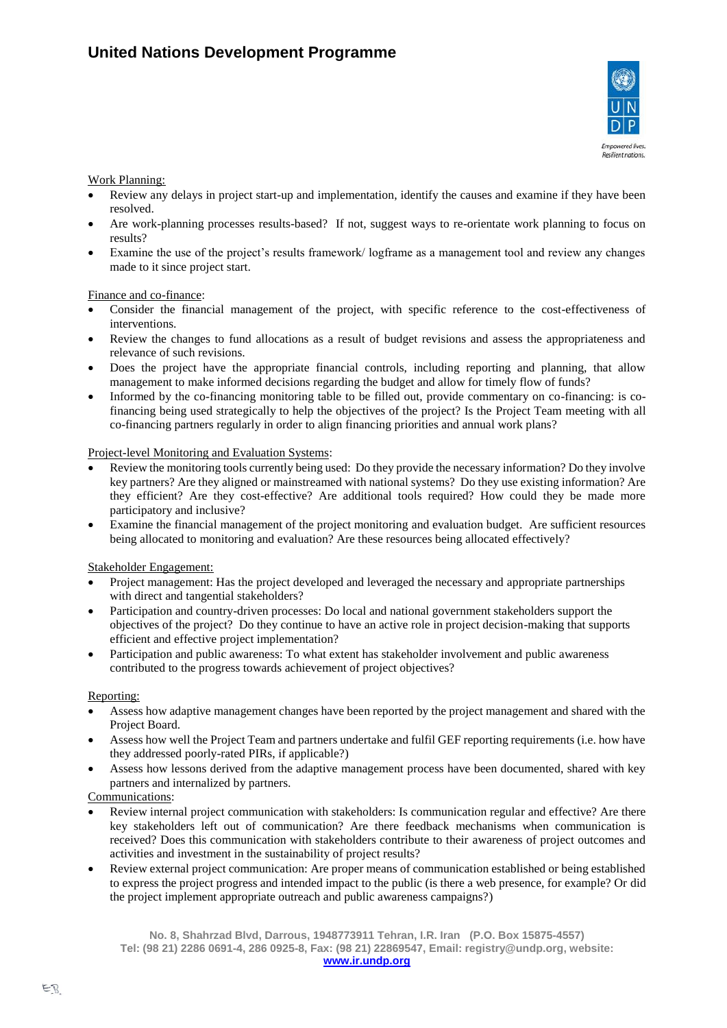

#### Work Planning:

- Review any delays in project start-up and implementation, identify the causes and examine if they have been resolved.
- Are work-planning processes results-based? If not, suggest ways to re-orientate work planning to focus on results?
- Examine the use of the project's results framework/ logframe as a management tool and review any changes made to it since project start.

### Finance and co-finance:

- Consider the financial management of the project, with specific reference to the cost-effectiveness of interventions.
- Review the changes to fund allocations as a result of budget revisions and assess the appropriateness and relevance of such revisions.
- Does the project have the appropriate financial controls, including reporting and planning, that allow management to make informed decisions regarding the budget and allow for timely flow of funds?
- Informed by the co-financing monitoring table to be filled out, provide commentary on co-financing: is cofinancing being used strategically to help the objectives of the project? Is the Project Team meeting with all co-financing partners regularly in order to align financing priorities and annual work plans?

### Project-level Monitoring and Evaluation Systems:

- Review the monitoring tools currently being used: Do they provide the necessary information? Do they involve key partners? Are they aligned or mainstreamed with national systems? Do they use existing information? Are they efficient? Are they cost-effective? Are additional tools required? How could they be made more participatory and inclusive?
- Examine the financial management of the project monitoring and evaluation budget. Are sufficient resources being allocated to monitoring and evaluation? Are these resources being allocated effectively?

#### Stakeholder Engagement:

- Project management: Has the project developed and leveraged the necessary and appropriate partnerships with direct and tangential stakeholders?
- Participation and country-driven processes: Do local and national government stakeholders support the objectives of the project? Do they continue to have an active role in project decision-making that supports efficient and effective project implementation?
- Participation and public awareness: To what extent has stakeholder involvement and public awareness contributed to the progress towards achievement of project objectives?

#### Reporting:

- Assess how adaptive management changes have been reported by the project management and shared with the Project Board.
- Assess how well the Project Team and partners undertake and fulfil GEF reporting requirements (i.e. how have they addressed poorly-rated PIRs, if applicable?)
- Assess how lessons derived from the adaptive management process have been documented, shared with key partners and internalized by partners.

# Communications:

- Review internal project communication with stakeholders: Is communication regular and effective? Are there key stakeholders left out of communication? Are there feedback mechanisms when communication is received? Does this communication with stakeholders contribute to their awareness of project outcomes and activities and investment in the sustainability of project results?
- Review external project communication: Are proper means of communication established or being established to express the project progress and intended impact to the public (is there a web presence, for example? Or did the project implement appropriate outreach and public awareness campaigns?)

**No. 8, Shahrzad Blvd, Darrous, 1948773911 Tehran, I.R. Iran (P.O. Box 15875-4557) Tel: (98 21) 2286 0691-4, 286 0925-8, Fax: (98 21) 22869547, Email: registry@undp.org, website:**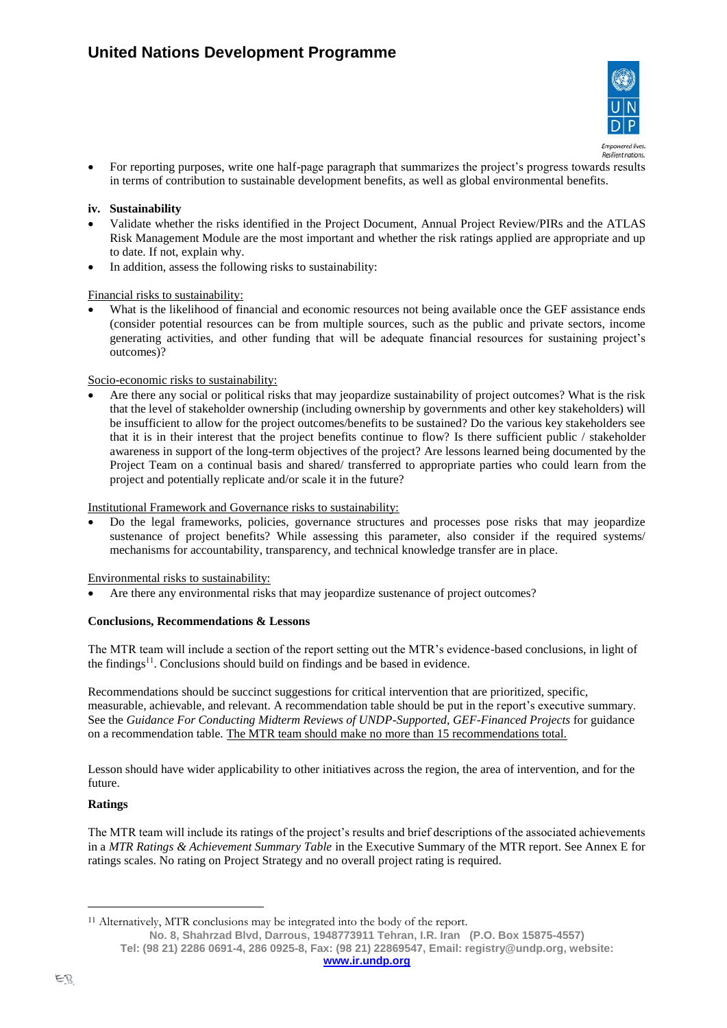

• For reporting purposes, write one half-page paragraph that summarizes the project's progress towards results in terms of contribution to sustainable development benefits, as well as global environmental benefits.

### **iv. Sustainability**

- Validate whether the risks identified in the Project Document, Annual Project Review/PIRs and the ATLAS Risk Management Module are the most important and whether the risk ratings applied are appropriate and up to date. If not, explain why.
- In addition, assess the following risks to sustainability:

#### Financial risks to sustainability:

What is the likelihood of financial and economic resources not being available once the GEF assistance ends (consider potential resources can be from multiple sources, such as the public and private sectors, income generating activities, and other funding that will be adequate financial resources for sustaining project's outcomes)?

### Socio-economic risks to sustainability:

• Are there any social or political risks that may jeopardize sustainability of project outcomes? What is the risk that the level of stakeholder ownership (including ownership by governments and other key stakeholders) will be insufficient to allow for the project outcomes/benefits to be sustained? Do the various key stakeholders see that it is in their interest that the project benefits continue to flow? Is there sufficient public / stakeholder awareness in support of the long-term objectives of the project? Are lessons learned being documented by the Project Team on a continual basis and shared/ transferred to appropriate parties who could learn from the project and potentially replicate and/or scale it in the future?

#### Institutional Framework and Governance risks to sustainability:

• Do the legal frameworks, policies, governance structures and processes pose risks that may jeopardize sustenance of project benefits? While assessing this parameter, also consider if the required systems/ mechanisms for accountability, transparency, and technical knowledge transfer are in place.

#### Environmental risks to sustainability:

Are there any environmental risks that may jeopardize sustenance of project outcomes?

#### **Conclusions, Recommendations & Lessons**

The MTR team will include a section of the report setting out the MTR's evidence-based conclusions, in light of the findings<sup>11</sup>. Conclusions should build on findings and be based in evidence.

Recommendations should be succinct suggestions for critical intervention that are prioritized, specific, measurable, achievable, and relevant. A recommendation table should be put in the report's executive summary. See the *Guidance For Conducting Midterm Reviews of UNDP-Supported, GEF-Financed Projects* for guidance on a recommendation table. The MTR team should make no more than 15 recommendations total.

Lesson should have wider applicability to other initiatives across the region, the area of intervention, and for the future.

# **Ratings**

The MTR team will include its ratings of the project's results and brief descriptions of the associated achievements in a *MTR Ratings & Achievement Summary Table* in the Executive Summary of the MTR report. See Annex E for ratings scales. No rating on Project Strategy and no overall project rating is required.

<sup>&</sup>lt;sup>11</sup> Alternatively, MTR conclusions may be integrated into the body of the report.

**No. 8, Shahrzad Blvd, Darrous, 1948773911 Tehran, I.R. Iran (P.O. Box 15875-4557)**

**Tel: (98 21) 2286 0691-4, 286 0925-8, Fax: (98 21) 22869547, Email: registry@undp.org, website:**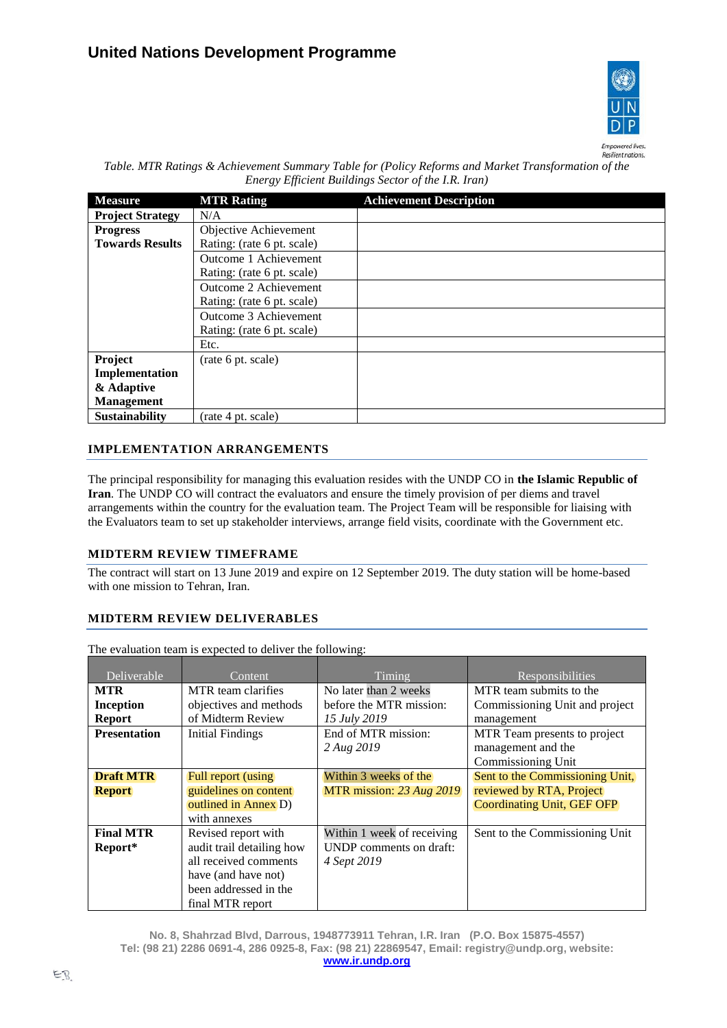

Resilient nations.

| Table. MTR Ratings & Achievement Summary Table for (Policy Reforms and Market Transformation of the |
|-----------------------------------------------------------------------------------------------------|
| Energy Efficient Buildings Sector of the I.R. Iran)                                                 |

| <b>Measure</b>          | <b>MTR Rating</b>          | <b>Achievement Description</b> |
|-------------------------|----------------------------|--------------------------------|
| <b>Project Strategy</b> | N/A                        |                                |
| <b>Progress</b>         | Objective Achievement      |                                |
| <b>Towards Results</b>  | Rating: (rate 6 pt. scale) |                                |
|                         | Outcome 1 Achievement      |                                |
|                         | Rating: (rate 6 pt. scale) |                                |
|                         | Outcome 2 Achievement      |                                |
|                         | Rating: (rate 6 pt. scale) |                                |
|                         | Outcome 3 Achievement      |                                |
|                         | Rating: (rate 6 pt. scale) |                                |
|                         | Etc.                       |                                |
| Project                 | (rate 6 pt. scale)         |                                |
| Implementation          |                            |                                |
| & Adaptive              |                            |                                |
| <b>Management</b>       |                            |                                |
| <b>Sustainability</b>   | (rate 4 pt. scale)         |                                |

# **IMPLEMENTATION ARRANGEMENTS**

The principal responsibility for managing this evaluation resides with the UNDP CO in **the Islamic Republic of Iran**. The UNDP CO will contract the evaluators and ensure the timely provision of per diems and travel arrangements within the country for the evaluation team. The Project Team will be responsible for liaising with the Evaluators team to set up stakeholder interviews, arrange field visits, coordinate with the Government etc.

# **MIDTERM REVIEW TIMEFRAME**

The contract will start on 13 June 2019 and expire on 12 September 2019. The duty station will be home-based with one mission to Tehran, Iran.

# **MIDTERM REVIEW DELIVERABLES**

The evaluation team is expected to deliver the following:

| Deliverable         | Content                   | <b>Timing</b>                     | Responsibilities                                   |
|---------------------|---------------------------|-----------------------------------|----------------------------------------------------|
| <b>MTR</b>          | MTR team clarifies        | No later than 2 weeks             | MTR team submits to the                            |
| <b>Inception</b>    | objectives and methods    | before the MTR mission:           | Commissioning Unit and project                     |
| <b>Report</b>       | of Midterm Review         | 15 July 2019                      | management                                         |
| <b>Presentation</b> | <b>Initial Findings</b>   | End of MTR mission:<br>2 Aug 2019 | MTR Team presents to project<br>management and the |
|                     |                           |                                   | Commissioning Unit                                 |
| <b>Draft MTR</b>    | Full report (using)       | Within 3 weeks of the             | Sent to the Commissioning Unit,                    |
| <b>Report</b>       | guidelines on content     | MTR mission: 23 Aug 2019          | reviewed by RTA, Project                           |
|                     | outlined in Annex D)      |                                   | <b>Coordinating Unit, GEF OFP</b>                  |
|                     | with annexes              |                                   |                                                    |
| <b>Final MTR</b>    | Revised report with       | Within 1 week of receiving        | Sent to the Commissioning Unit                     |
| Report*             | audit trail detailing how | UNDP comments on draft:           |                                                    |
|                     | all received comments     | 4 Sept 2019                       |                                                    |
|                     | have (and have not)       |                                   |                                                    |
|                     | been addressed in the     |                                   |                                                    |
|                     | final MTR report          |                                   |                                                    |

**No. 8, Shahrzad Blvd, Darrous, 1948773911 Tehran, I.R. Iran (P.O. Box 15875-4557) Tel: (98 21) 2286 0691-4, 286 0925-8, Fax: (98 21) 22869547, Email: registry@undp.org, website: [www.ir.undp.org](http://www.ir.undp.org/)**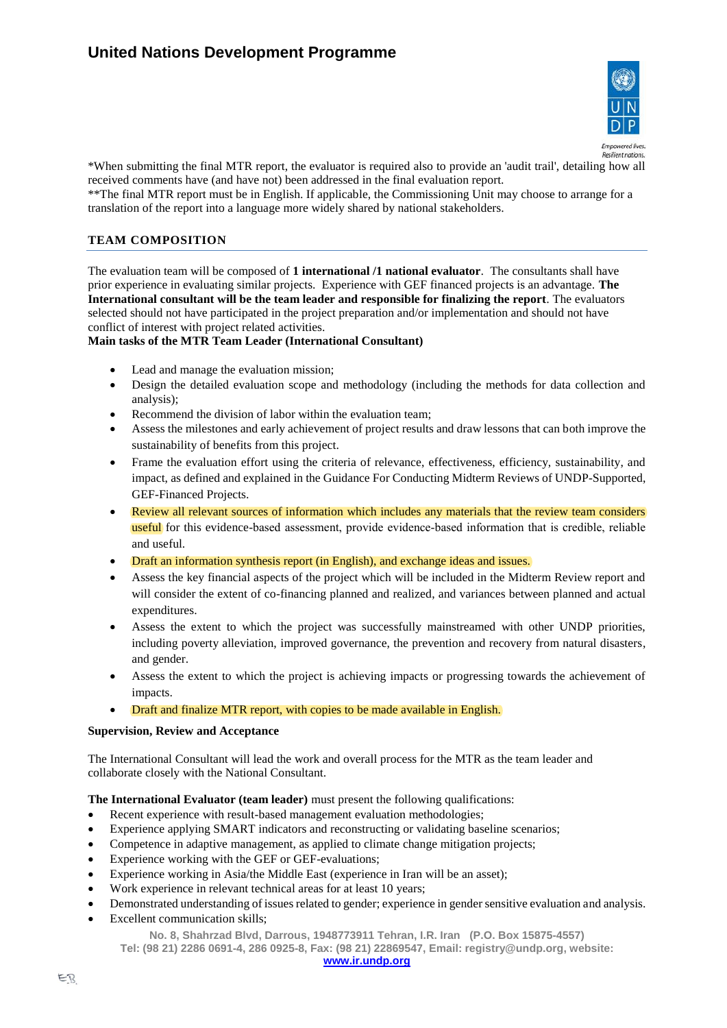

\*When submitting the final MTR report, the evaluator is required also to provide an 'audit trail', detailing how all received comments have (and have not) been addressed in the final evaluation report.

\*\*The final MTR report must be in English. If applicable, the Commissioning Unit may choose to arrange for a translation of the report into a language more widely shared by national stakeholders.

#### **TEAM COMPOSITION**

The evaluation team will be composed of **1 international /1 national evaluator***.* The consultants shall have prior experience in evaluating similar projects. Experience with GEF financed projects is an advantage. **The International consultant will be the team leader and responsible for finalizing the report***.* The evaluators selected should not have participated in the project preparation and/or implementation and should not have conflict of interest with project related activities.

#### **Main tasks of the MTR Team Leader (International Consultant)**

- Lead and manage the evaluation mission:
- Design the detailed evaluation scope and methodology (including the methods for data collection and analysis);
- Recommend the division of labor within the evaluation team;
- Assess the milestones and early achievement of project results and draw lessons that can both improve the sustainability of benefits from this project.
- Frame the evaluation effort using the criteria of relevance, effectiveness, efficiency, sustainability, and impact, as defined and explained in the Guidance For Conducting Midterm Reviews of UNDP-Supported, GEF-Financed Projects.
- Review all relevant sources of information which includes any materials that the review team considers useful for this evidence-based assessment, provide evidence-based information that is credible, reliable and useful.
- Draft an information synthesis report (in English), and exchange ideas and issues.
- Assess the key financial aspects of the project which will be included in the Midterm Review report and will consider the extent of co-financing planned and realized, and variances between planned and actual expenditures.
- Assess the extent to which the project was successfully mainstreamed with other UNDP priorities, including poverty alleviation, improved governance, the prevention and recovery from natural disasters, and gender.
- Assess the extent to which the project is achieving impacts or progressing towards the achievement of impacts.
- Draft and finalize MTR report, with copies to be made available in English.

#### **Supervision, Review and Acceptance**

The International Consultant will lead the work and overall process for the MTR as the team leader and collaborate closely with the National Consultant.

**The International Evaluator (team leader)** must present the following qualifications:

- Recent experience with result-based management evaluation methodologies;
- Experience applying SMART indicators and reconstructing or validating baseline scenarios;
- Competence in adaptive management, as applied to climate change mitigation projects;
- Experience working with the GEF or GEF-evaluations;
- Experience working in Asia/the Middle East (experience in Iran will be an asset);
- Work experience in relevant technical areas for at least 10 years;
- Demonstrated understanding of issues related to gender; experience in gender sensitive evaluation and analysis.
- Excellent communication skills;

**No. 8, Shahrzad Blvd, Darrous, 1948773911 Tehran, I.R. Iran (P.O. Box 15875-4557)**

**Tel: (98 21) 2286 0691-4, 286 0925-8, Fax: (98 21) 22869547, Email: registry@undp.org, website:**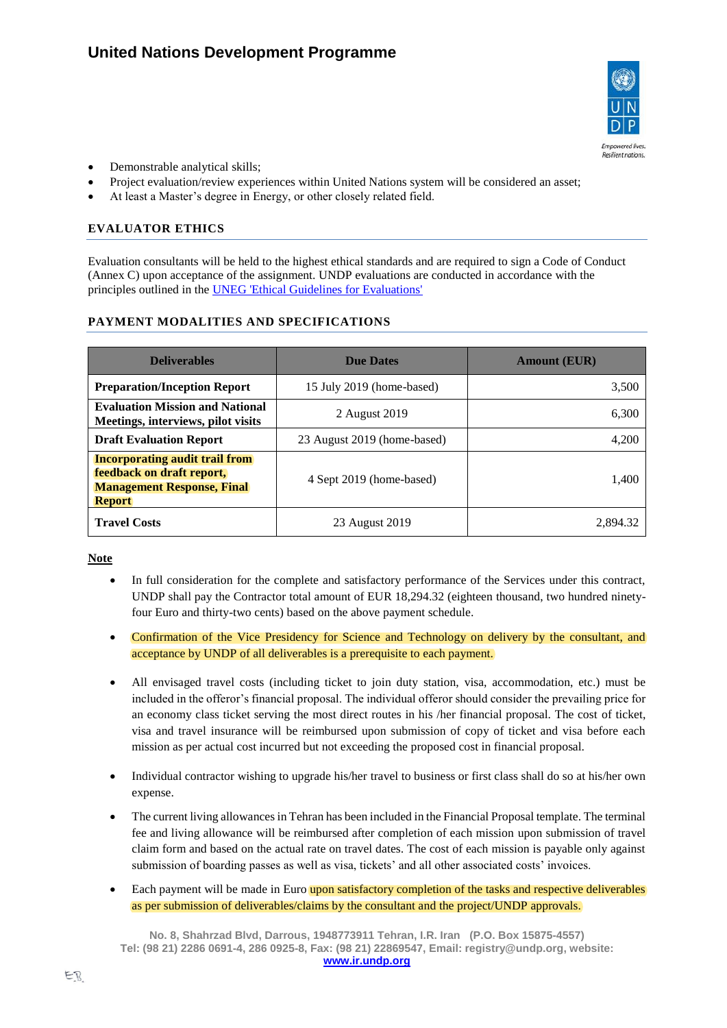

- Demonstrable analytical skills;
- Project evaluation/review experiences within United Nations system will be considered an asset;
- At least a Master's degree in Energy, or other closely related field.

# **EVALUATOR ETHICS**

Evaluation consultants will be held to the highest ethical standards and are required to sign a Code of Conduct (Annex C) upon acceptance of the assignment. UNDP evaluations are conducted in accordance with the principles outlined in the [UNEG 'Ethical Guidelines for Evaluations'](http://www.unevaluation.org/ethicalguidelines)

# **PAYMENT MODALITIES AND SPECIFICATIONS**

| <b>Deliverables</b>                                                                                                      | <b>Due Dates</b>            | <b>Amount (EUR)</b> |
|--------------------------------------------------------------------------------------------------------------------------|-----------------------------|---------------------|
| <b>Preparation/Inception Report</b>                                                                                      | 15 July 2019 (home-based)   | 3,500               |
| <b>Evaluation Mission and National</b><br>Meetings, interviews, pilot visits                                             | 2 August 2019               | 6,300               |
| <b>Draft Evaluation Report</b>                                                                                           | 23 August 2019 (home-based) | 4,200               |
| <b>Incorporating audit trail from</b><br>feedback on draft report,<br><b>Management Response, Final</b><br><b>Report</b> | 4 Sept 2019 (home-based)    | 1,400               |
| <b>Travel Costs</b>                                                                                                      | 23 August 2019              | 2.894.32            |

**Note** 

- In full consideration for the complete and satisfactory performance of the Services under this contract, UNDP shall pay the Contractor total amount of EUR 18,294.32 (eighteen thousand, two hundred ninetyfour Euro and thirty-two cents) based on the above payment schedule.
- Confirmation of the Vice Presidency for Science and Technology on delivery by the consultant, and acceptance by UNDP of all deliverables is a prerequisite to each payment.
- All envisaged travel costs (including ticket to join duty station, visa, accommodation, etc.) must be included in the offeror's financial proposal. The individual offeror should consider the prevailing price for an economy class ticket serving the most direct routes in his /her financial proposal. The cost of ticket, visa and travel insurance will be reimbursed upon submission of copy of ticket and visa before each mission as per actual cost incurred but not exceeding the proposed cost in financial proposal.
- Individual contractor wishing to upgrade his/her travel to business or first class shall do so at his/her own expense.
- The current living allowances in Tehran has been included in the Financial Proposal template. The terminal fee and living allowance will be reimbursed after completion of each mission upon submission of travel claim form and based on the actual rate on travel dates. The cost of each mission is payable only against submission of boarding passes as well as visa, tickets' and all other associated costs' invoices.
- Each payment will be made in Euro upon satisfactory completion of the tasks and respective deliverables as per submission of deliverables/claims by the consultant and the project/UNDP approvals.

**No. 8, Shahrzad Blvd, Darrous, 1948773911 Tehran, I.R. Iran (P.O. Box 15875-4557) Tel: (98 21) 2286 0691-4, 286 0925-8, Fax: (98 21) 22869547, Email: registry@undp.org, website: [www.ir.undp.org](http://www.ir.undp.org/)**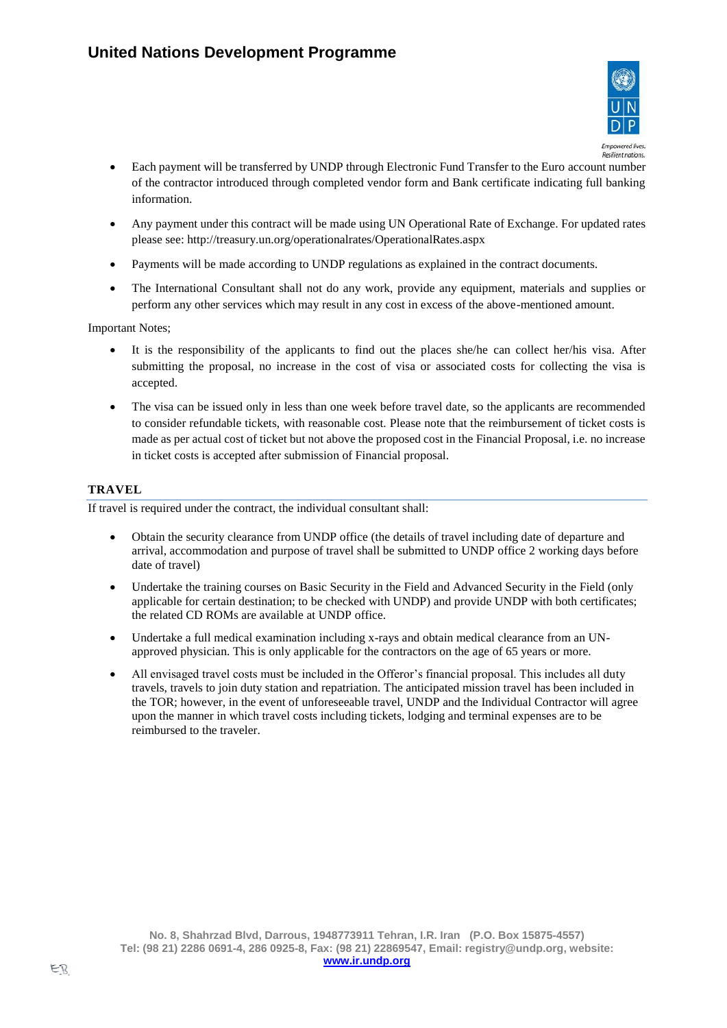

- Each payment will be transferred by UNDP through Electronic Fund Transfer to the Euro account number of the contractor introduced through completed vendor form and Bank certificate indicating full banking information.
- Any payment under this contract will be made using UN Operational Rate of Exchange. For updated rates please see:<http://treasury.un.org/operationalrates/OperationalRates.aspx>
- Payments will be made according to UNDP regulations as explained in the contract documents.
- The International Consultant shall not do any work, provide any equipment, materials and supplies or perform any other services which may result in any cost in excess of the above-mentioned amount.

Important Notes;

- It is the responsibility of the applicants to find out the places she/he can collect her/his visa. After submitting the proposal, no increase in the cost of visa or associated costs for collecting the visa is accepted.
- The visa can be issued only in less than one week before travel date, so the applicants are recommended to consider refundable tickets, with reasonable cost. Please note that the reimbursement of ticket costs is made as per actual cost of ticket but not above the proposed cost in the Financial Proposal, i.e. no increase in ticket costs is accepted after submission of Financial proposal.

# **TRAVEL**

If travel is required under the contract, the individual consultant shall:

- Obtain the security clearance from UNDP office (the details of travel including date of departure and arrival, accommodation and purpose of travel shall be submitted to UNDP office 2 working days before date of travel)
- Undertake the training courses on Basic Security in the Field and Advanced Security in the Field (only applicable for certain destination; to be checked with UNDP) and provide UNDP with both certificates; the related CD ROMs are available at UNDP office.
- Undertake a full medical examination including x-rays and obtain medical clearance from an UNapproved physician. This is only applicable for the contractors on the age of 65 years or more.
- All envisaged travel costs must be included in the Offeror's financial proposal. This includes all duty travels, travels to join duty station and repatriation. The anticipated mission travel has been included in the TOR; however, in the event of unforeseeable travel, UNDP and the Individual Contractor will agree upon the manner in which travel costs including tickets, lodging and terminal expenses are to be reimbursed to the traveler.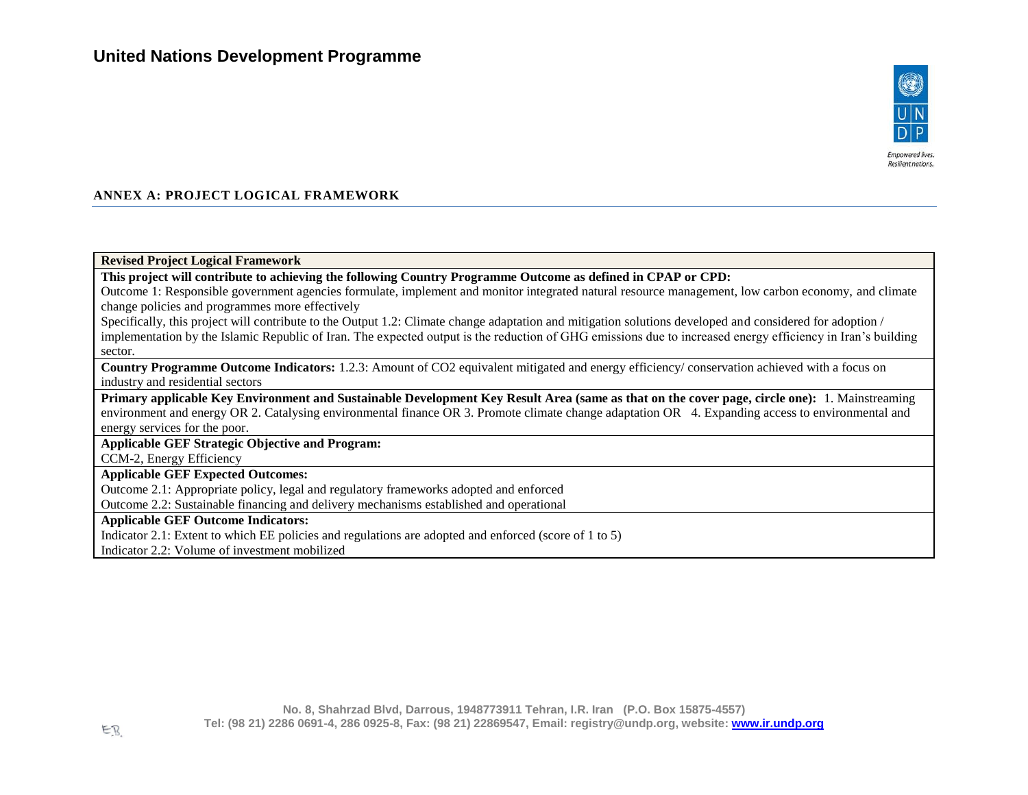

#### **ANNEX A: PROJECT LOGICAL FRAMEWORK**

#### **Revised Project Logical Framework**

**This project will contribute to achieving the following Country Programme Outcome as defined in CPAP or CPD:** 

Outcome 1: Responsible government agencies formulate, implement and monitor integrated natural resource management, low carbon economy, and climate change policies and programmes more effectively

Specifically, this project will contribute to the Output 1.2: Climate change adaptation and mitigation solutions developed and considered for adoption / implementation by the Islamic Republic of Iran. The expected output is the reduction of GHG emissions due to increased energy efficiency in Iran's building sector.

**Country Programme Outcome Indicators:** 1.2.3: Amount of CO2 equivalent mitigated and energy efficiency/ conservation achieved with a focus on industry and residential sectors

**Primary applicable Key Environment and Sustainable Development Key Result Area (same as that on the cover page, circle one):** 1. Mainstreaming environment and energy OR 2. Catalysing environmental finance OR 3. Promote climate change adaptation OR 4. Expanding access to environmental and energy services for the poor.

### **Applicable GEF Strategic Objective and Program:**

CCM-2, Energy Efficiency

#### **Applicable GEF Expected Outcomes:**

Outcome 2.1: Appropriate policy, legal and regulatory frameworks adopted and enforced

Outcome 2.2: Sustainable financing and delivery mechanisms established and operational

#### **Applicable GEF Outcome Indicators:**

Indicator 2.1: Extent to which EE policies and regulations are adopted and enforced (score of 1 to 5)

Indicator 2.2: Volume of investment mobilized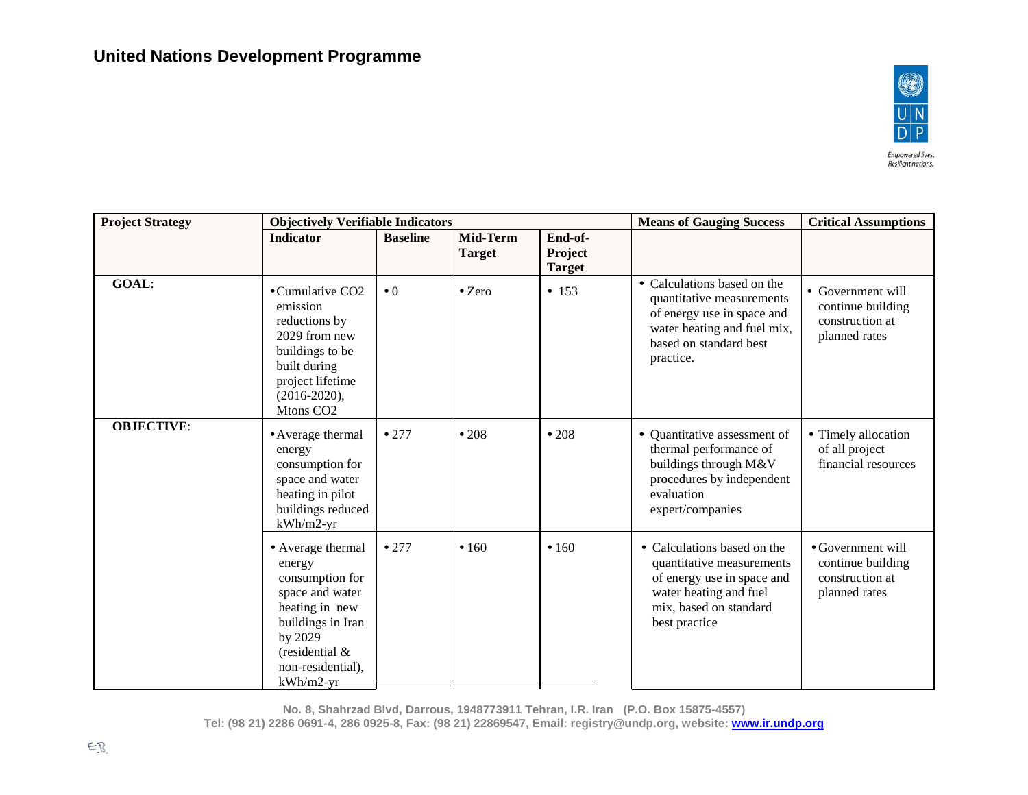

| <b>Project Strategy</b> | <b>Objectively Verifiable Indicators</b>                                                                                                                                   |                 |                           |                                     | <b>Means of Gauging Success</b>                                                                                                                              | <b>Critical Assumptions</b>                                                |  |
|-------------------------|----------------------------------------------------------------------------------------------------------------------------------------------------------------------------|-----------------|---------------------------|-------------------------------------|--------------------------------------------------------------------------------------------------------------------------------------------------------------|----------------------------------------------------------------------------|--|
|                         | <b>Indicator</b>                                                                                                                                                           | <b>Baseline</b> | Mid-Term<br><b>Target</b> | End-of-<br>Project<br><b>Target</b> |                                                                                                                                                              |                                                                            |  |
| GOAL:                   | •Cumulative CO2<br>emission<br>reductions by<br>2029 from new<br>buildings to be<br>built during<br>project lifetime<br>$(2016 - 2020),$<br>Mtons CO <sub>2</sub>          | $\bullet$ 0     | $\bullet$ Zero            | • 153                               | • Calculations based on the<br>quantitative measurements<br>of energy use in space and<br>water heating and fuel mix,<br>based on standard best<br>practice. | • Government will<br>continue building<br>construction at<br>planned rates |  |
| <b>OBJECTIVE:</b>       | • Average thermal<br>energy<br>consumption for<br>space and water<br>heating in pilot<br>buildings reduced<br>$kWh/m2-yr$                                                  | •277            | •208                      | •208                                | • Quantitative assessment of<br>thermal performance of<br>buildings through M&V<br>procedures by independent<br>evaluation<br>expert/companies               | • Timely allocation<br>of all project<br>financial resources               |  |
|                         | • Average thermal<br>energy<br>consumption for<br>space and water<br>heating in new<br>buildings in Iran<br>by 2029<br>(residential $\&$<br>non-residential),<br>kWh/m2-yr | •277            | •160                      | •160                                | • Calculations based on the<br>quantitative measurements<br>of energy use in space and<br>water heating and fuel<br>mix, based on standard<br>best practice  | • Government will<br>continue building<br>construction at<br>planned rates |  |

**No. 8, Shahrzad Blvd, Darrous, 1948773911 Tehran, I.R. Iran (P.O. Box 15875-4557)**

**Tel: (98 21) 2286 0691-4, 286 0925-8, Fax: (98 21) 22869547, Email: registry@undp.org, website[: www.ir.undp.org](http://www.ir.undp.org/)**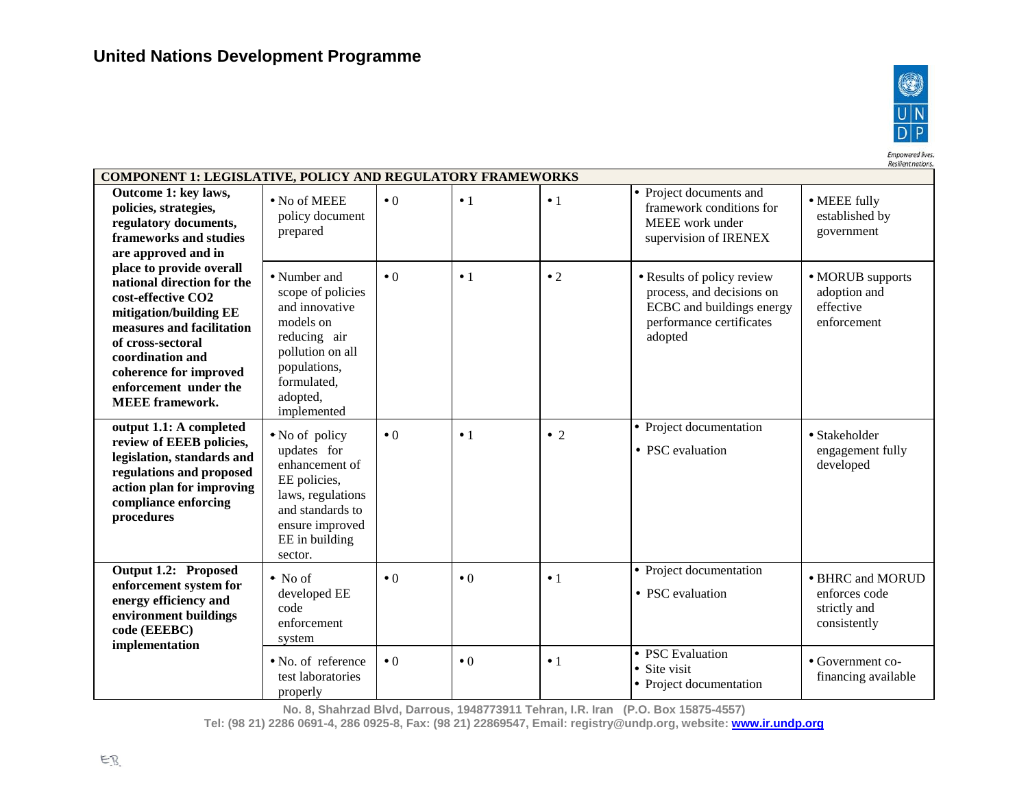test laboratories properly



financing available

Empowered lives.<br>Resilient nations. **COMPONENT 1: LEGISLATIVE, POLICY AND REGULATORY FRAMEWORKS** Project documents and **Outcome 1: key laws,**  No of MEEE MEEE fully  $\bullet 0$   $\bullet 1$   $\bullet 1$ **policies, strategies,**  framework conditions for policy document established by **regulatory documents,**  MEEE work under prepared government **frameworks and studies**  supervision of IRENEX **are approved and in place to provide overall**  Number and  $\bullet$  0  $\bullet$  1  $\bullet$  2  $\bullet$  Results of policy review MORUB supports **national direction for the**  scope of policies process, and decisions on adoption and **cost-effective CO2**  and innovative ECBC and buildings energy effective **mitigation/building EE**  models on performance certificates enforcement **measures and facilitation**  reducing air adopted **of cross-sectoral**  pollution on all **coordination and**  populations, **coherence for improved**  formulated, **enforcement under the**  adopted, **MEEE framework.** implemented • Project documentation **output 1.1: A completed**  Stakeholder • No of policy  $\bullet 0$   $\bullet 1$   $\bullet 2$ **review of EEEB policies,**  updates for • PSC evaluation engagement fully **legislation, standards and**  enhancement of developed **regulations and proposed**  EE policies, **action plan for improving**  laws, regulations **compliance enforcing**  and standards to **procedures** ensure improved EE in building sector. **Output 1.2: Proposed**  Project documentation No of BHRC and MORUD  $\bullet 0$   $\bullet 1$ **enforcement system for**  developed EE • PSC evaluation enforces code **energy efficiency and**  code strictly and **environment buildings**  enforcement consistently **code (EEEBC)**  system **implementation** • PSC Evaluation No. of reference Government co- $\bullet 0$   $\bullet 1$ 

**No. 8, Shahrzad Blvd, Darrous, 1948773911 Tehran, I.R. Iran (P.O. Box 15875-4557)**

• Site visit

• Project documentation

**Tel: (98 21) 2286 0691-4, 286 0925-8, Fax: (98 21) 22869547, Email: registry@undp.org, website[: www.ir.undp.org](http://www.ir.undp.org/)**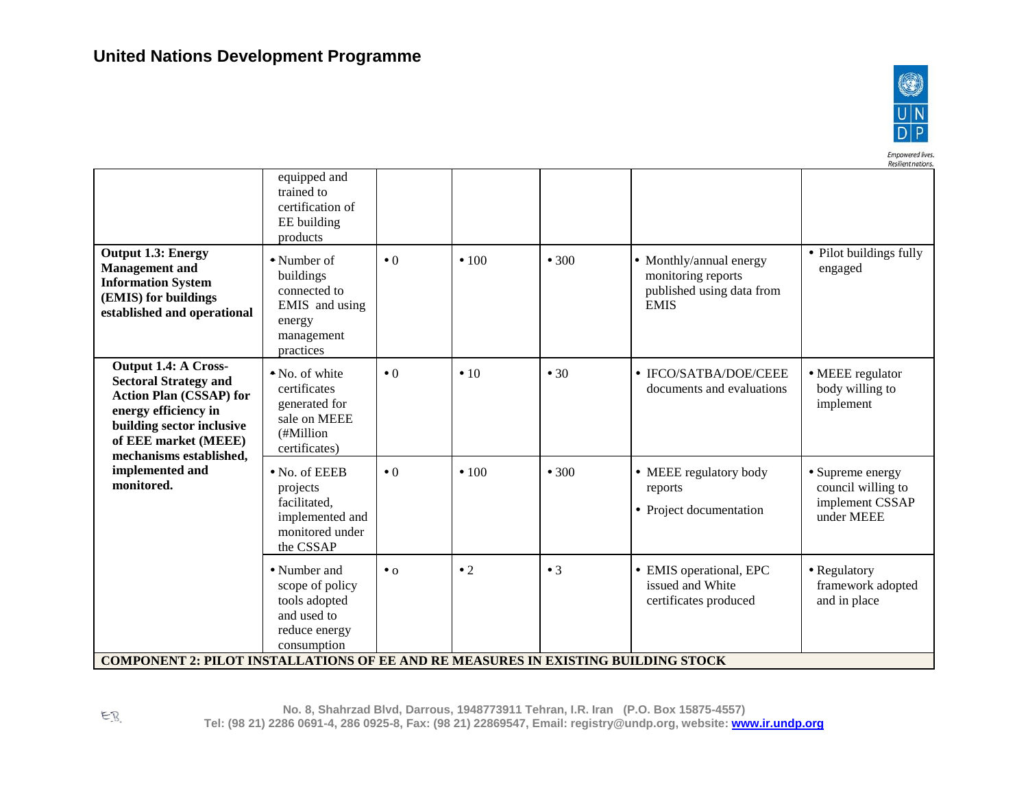

Empowered lives.<br>Resilient nations.

| <b>Output 1.3: Energy</b><br><b>Management</b> and<br><b>Information System</b><br>(EMIS) for buildings<br>established and operational                                                         | equipped and<br>trained to<br>certification of<br>EE building<br>products<br>• Number of<br>buildings<br>connected to<br>EMIS and using<br>energy<br>management<br>practices | $\bullet$ 0 | $\cdot$ 100 | • 300       | • Monthly/annual energy<br>monitoring reports<br>published using data from<br><b>EMIS</b> | • Pilot buildings fully<br>engaged                                      |
|------------------------------------------------------------------------------------------------------------------------------------------------------------------------------------------------|------------------------------------------------------------------------------------------------------------------------------------------------------------------------------|-------------|-------------|-------------|-------------------------------------------------------------------------------------------|-------------------------------------------------------------------------|
| Output 1.4: A Cross-<br><b>Sectoral Strategy and</b><br><b>Action Plan (CSSAP) for</b><br>energy efficiency in<br>building sector inclusive<br>of EEE market (MEEE)<br>mechanisms established, | • No. of white<br>certificates<br>generated for<br>sale on MEEE<br>(#Million<br>certificates)                                                                                | $\bullet$ 0 | $\cdot$ 10  | •30         | • IFCO/SATBA/DOE/CEEE<br>documents and evaluations                                        | • MEEE regulator<br>body willing to<br>implement                        |
| implemented and<br>monitored.                                                                                                                                                                  | $\bullet$ No. of EEEB<br>projects<br>facilitated,<br>implemented and<br>monitored under<br>the CSSAP                                                                         | $\bullet$ 0 | $\cdot$ 100 | • 300       | • MEEE regulatory body<br>reports<br>• Project documentation                              | • Supreme energy<br>council willing to<br>implement CSSAP<br>under MEEE |
| <b>COMPONENT 2: PILOT INSTALLATIONS OF EE AND RE MEASURES IN EXISTING BUILDING STOCK</b>                                                                                                       | • Number and<br>scope of policy<br>tools adopted<br>and used to<br>reduce energy<br>consumption                                                                              | $\bullet$ 0 | $\bullet$ 2 | $\bullet$ 3 | • EMIS operational, EPC<br>issued and White<br>certificates produced                      | • Regulatory<br>framework adopted<br>and in place                       |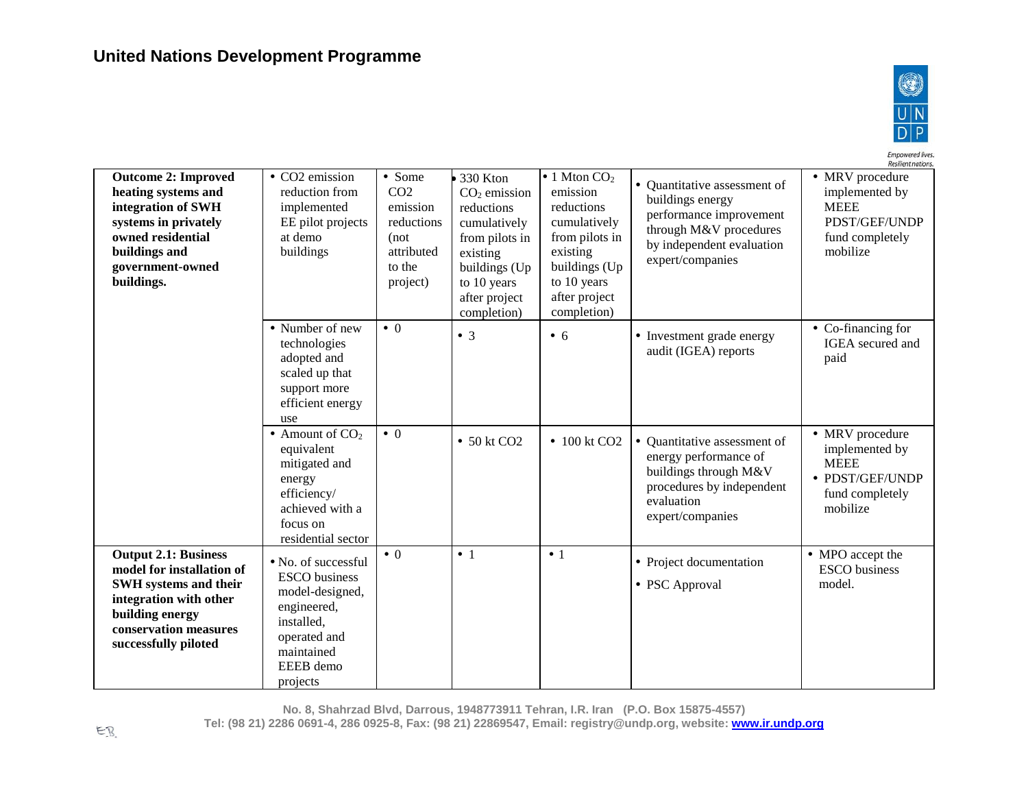

Empowered lives.

Resilient nations. **Outcome 2: Improved**  • CO<sub>2</sub> emission • Some  $\cdot$  1 Mton CO<sub>2</sub> • MRV procedure • 330 Kton • Ouantitative assessment of CO2 emission implemented by **heating systems and**  reduction from  $CO<sub>2</sub>$  emission buildings energy **integration of SWH**  emission reductions MEEE implemented reductions performance improvement **systems in privately**  EE pilot projects reductions cumulatively cumulatively PDST/GEF/UNDP through M&V procedures **owned residential**  at demo (not from pilots in fund completely from pilots in by independent evaluation **buildings and**  buildings attributed existing mobilize existing expert/companies **government-owned**  to the buildings (Up buildings (Up **buildings.** project) to 10 years to 10 years after project after project completion) completion) • Number of new  $\bullet$  0 • Co-financing for  $\bullet$  3  $\bullet$  6  $\bullet$  Investment grade energy IGEA secured and technologies audit (IGEA) reports adopted and paid scaled up that support more efficient energy use • MRV procedure • Amount of  $CO<sub>2</sub>$  $\bullet$  0 • 50 kt CO2  $\parallel \cdot 100 \text{ kt }$ CO2  $\parallel \cdot 0$  Quantitative assessment of equivalent implemented by energy performance of mitigated and MEEE buildings through M&V • PDST/GEF/UNDP energy procedures by independent fund completely efficiency/ evaluation achieved with a mobilize expert/companies focus on residential sector **Output 2.1: Business**  • MPO accept the  $\bullet$  0  $\bullet$  1  $\bullet$  1 • No. of successful • Project documentation ESCO business **model for installation of**  ESCO business **SWH systems and their**  • PSC Approval model.model-designed, **integration with other**  engineered, **building energy**  installed, **conservation measures**  operated and **successfully piloted** maintained EEEB demo projects

**No. 8, Shahrzad Blvd, Darrous, 1948773911 Tehran, I.R. Iran (P.O. Box 15875-4557)**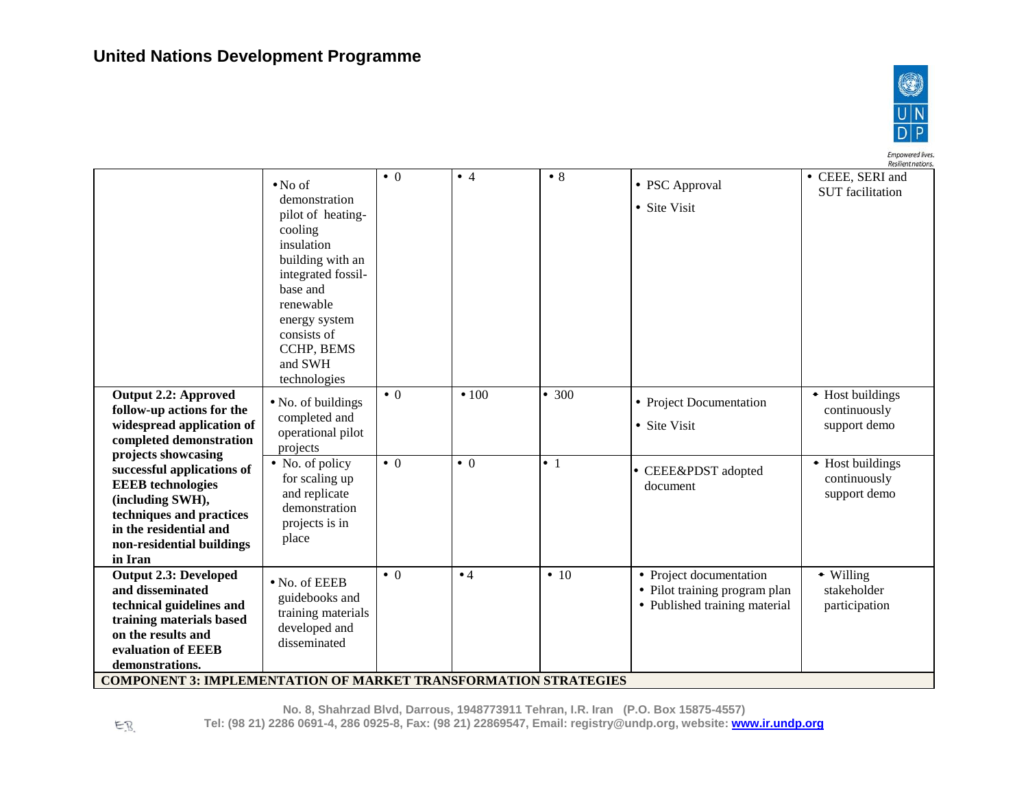

Empowered lives.<br>Resilient nations.

| <b>Output 2.2: Approved</b><br>follow-up actions for the<br>widespread application of<br>completed demonstration<br>projects showcasing<br>successful applications of<br><b>EEEB</b> technologies<br>(including SWH),<br>techniques and practices | $\bullet$ No of<br>demonstration<br>pilot of heating-<br>cooling<br>insulation<br>building with an<br>integrated fossil-<br>base and<br>renewable<br>energy system<br>consists of<br>CCHP, BEMS<br>and SWH<br>technologies<br>• No. of buildings<br>completed and<br>operational pilot<br>projects<br>• No. of policy<br>for scaling up<br>and replicate<br>demonstration<br>projects is in | $\bullet$ 0<br>$\bullet$ 0<br>$\bullet$ 0 | $\bullet$ 4<br>$\cdot$ 100<br>$\bullet$ 0 | • 8<br>• 300<br>$\bullet$ 1 | • PSC Approval<br>• Site Visit<br>• Project Documentation<br>• Site Visit<br>• CEEE&PDST adopted<br>document | <b>UCSULCUL LIMITATIS</b><br>• CEEE, SERI and<br><b>SUT</b> facilitation<br>• Host buildings<br>continuously<br>support demo<br>• Host buildings<br>continuously<br>support demo |
|---------------------------------------------------------------------------------------------------------------------------------------------------------------------------------------------------------------------------------------------------|---------------------------------------------------------------------------------------------------------------------------------------------------------------------------------------------------------------------------------------------------------------------------------------------------------------------------------------------------------------------------------------------|-------------------------------------------|-------------------------------------------|-----------------------------|--------------------------------------------------------------------------------------------------------------|----------------------------------------------------------------------------------------------------------------------------------------------------------------------------------|
| in the residential and<br>non-residential buildings<br>in Iran                                                                                                                                                                                    | place                                                                                                                                                                                                                                                                                                                                                                                       |                                           |                                           |                             |                                                                                                              |                                                                                                                                                                                  |
| <b>Output 2.3: Developed</b><br>and disseminated<br>technical guidelines and<br>training materials based<br>on the results and<br>evaluation of EEEB<br>demonstrations.                                                                           | • No. of EEEB<br>guidebooks and<br>training materials<br>developed and<br>disseminated                                                                                                                                                                                                                                                                                                      | $\bullet$ 0                               | $\bullet$ 4                               | $\bullet$ 10                | • Project documentation<br>• Pilot training program plan<br>• Published training material                    | • Willing<br>stakeholder<br>participation                                                                                                                                        |

**COMPONENT 3: IMPLEMENTATION OF MARKET TRANSFORMATION STRATEGIES**

**No. 8, Shahrzad Blvd, Darrous, 1948773911 Tehran, I.R. Iran (P.O. Box 15875-4557) Tel: (98 21) 2286 0691-4, 286 0925-8, Fax: (98 21) 22869547, Email: registry@undp.org, website[: www.ir.undp.org](http://www.ir.undp.org/)**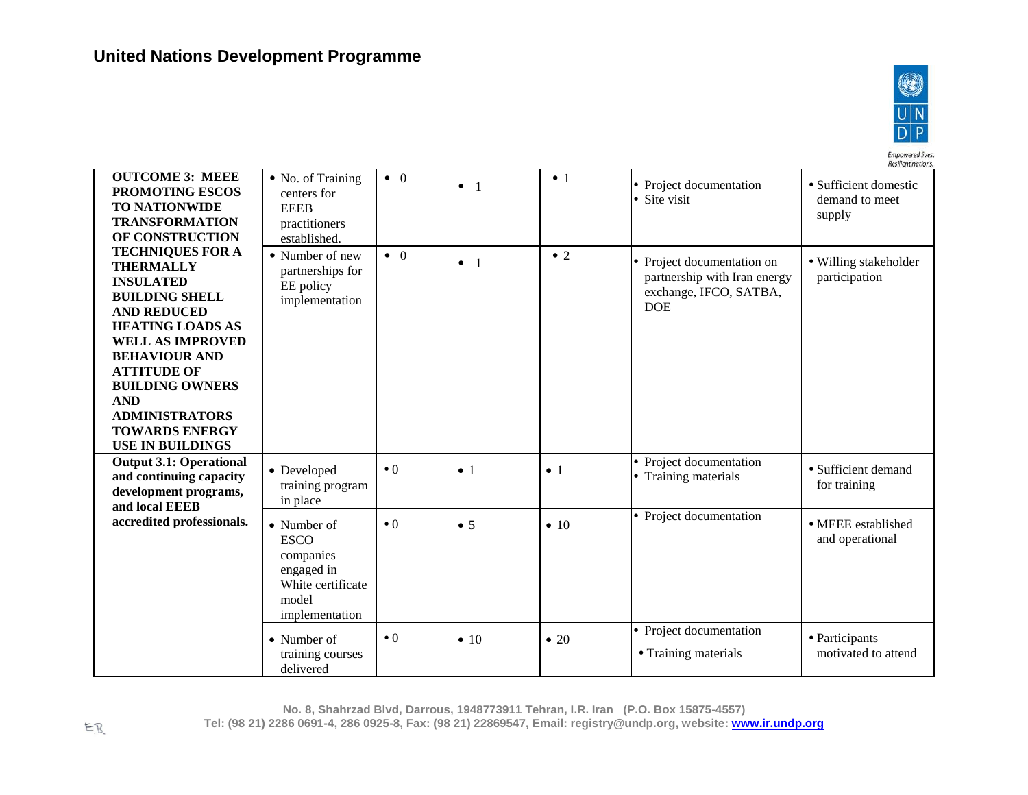delivered



Resilient nations. **OUTCOME 3: MEEE**  • No. of Training • 0 • 1 Project documentation Sufficient domestic • 1 **PROMOTING ESCOS**  centers for • Site visit demand to meet **TO NATIONWIDE**  EEEB supply **TRANSFORMATION**  practitioners **OF CONSTRUCTION**  established. **TECHNIQUES FOR A**   $\bullet$  2 • Number of new • 0 Project documentation on Willing stakeholder • 1 **THERMALLY**  partnerships for partnership with Iran energy participation **INSULATED**  EE policy exchange, IFCO, SATBA, **BUILDING SHELL**  implementation DOE **AND REDUCED HEATING LOADS AS WELL AS IMPROVED BEHAVIOUR AND ATTITUDE OF BUILDING OWNERS AND ADMINISTRATORS TOWARDS ENERGY USE IN BUILDINGS** • Project documentation **Output 3.1: Operational**  • Training materials • Sufficient demand • Developed  $\bullet 0$   $\bullet 1$   $\bullet 1$ **and continuing capacity**  training program for training **development programs,**  in place **and local EEEB**   $\bullet$  0  $\bullet$  5  $\bullet$  10  $\bullet$  Project documentation **accredited professionals.** • Number of MEEE established ESCO and operational companies engaged in White certificate model implementation  $\bullet$  0  $\bullet$  10  $\bullet$  20  $\bullet$  Project documentation • Number of Participants • Training materials training courses motivated to attend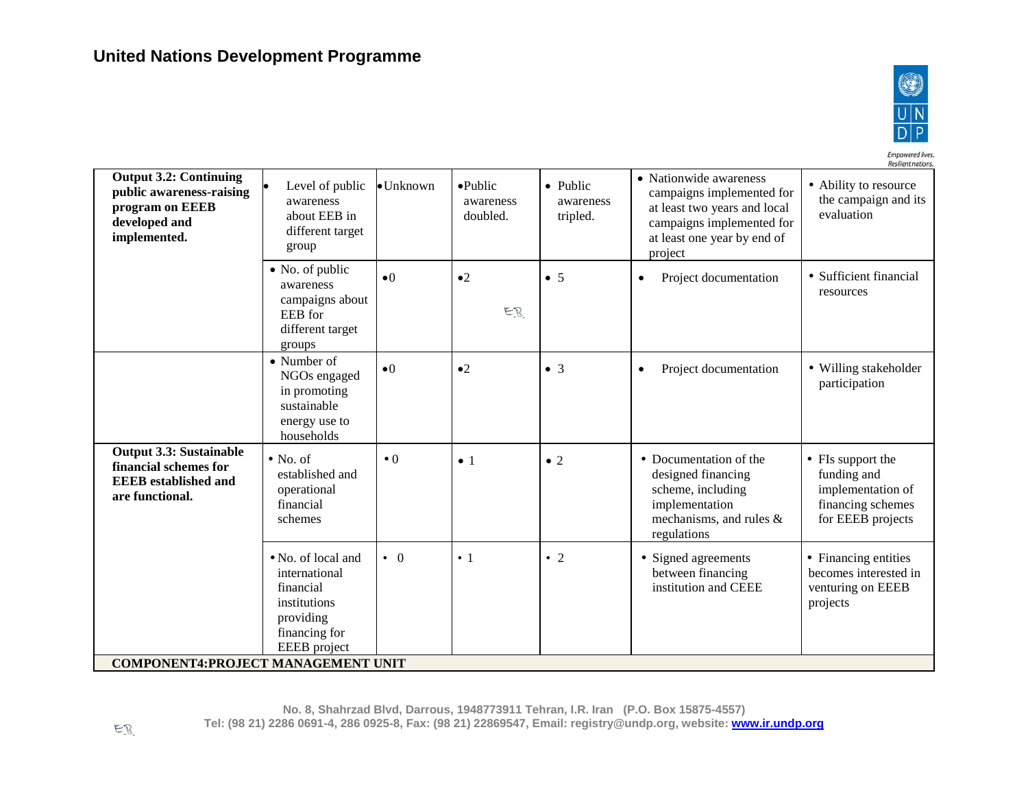

Resilient nations. **Output 3.2: Continuing**  • Nationwide awareness  $\bullet$ Unknown  $\bullet$ Public • Ability to resource Level of public • Public **public awareness-raising**  campaigns implemented for the campaign and its awareness awareness awareness **program on EEEB**  at least two years and local evaluation about EEB in doubled. tripled. **developed and**  campaigns implemented for different target **implemented.** at least one year by end of group project • No. of public •0  $\bullet$  2  $\bullet$  5  $\bullet$  Project documentation  $\bullet$  Sufficient financial awareness resources campaigns about EB EEB for different target groups • Number of  $\bullet$  0  $\bullet$  2  $\bullet$  3  $\bullet$  Project documentation  $\bullet$  Willing stakeholder NGOs engaged participation in promoting sustainable energy use to households **Output 3.3: Sustainable**   $\bullet$  0  $\bullet$  1  $\bullet$  2  $\bullet$  Documentation of the • FIs support the No. of **financial schemes for**  established and designed financing funding and **EEEB established and**  operational scheme, including implementation of **are functional.**  financial implementation financing schemes schemes mechanisms, and rules & for EEEB projects regulations No. of local and • 0  $\vert \cdot \vert$   $\vert \cdot \vert$   $\vert \cdot \vert$   $\vert \cdot \vert$   $\vert$   $\vert$   $\vert$  Signed agreements • Financing entities international between financing becomes interested in financial institution and CEEE venturing on EEEB institutions projects providing financing for EEEB project **COMPONENT4:PROJECT MANAGEMENT UNIT**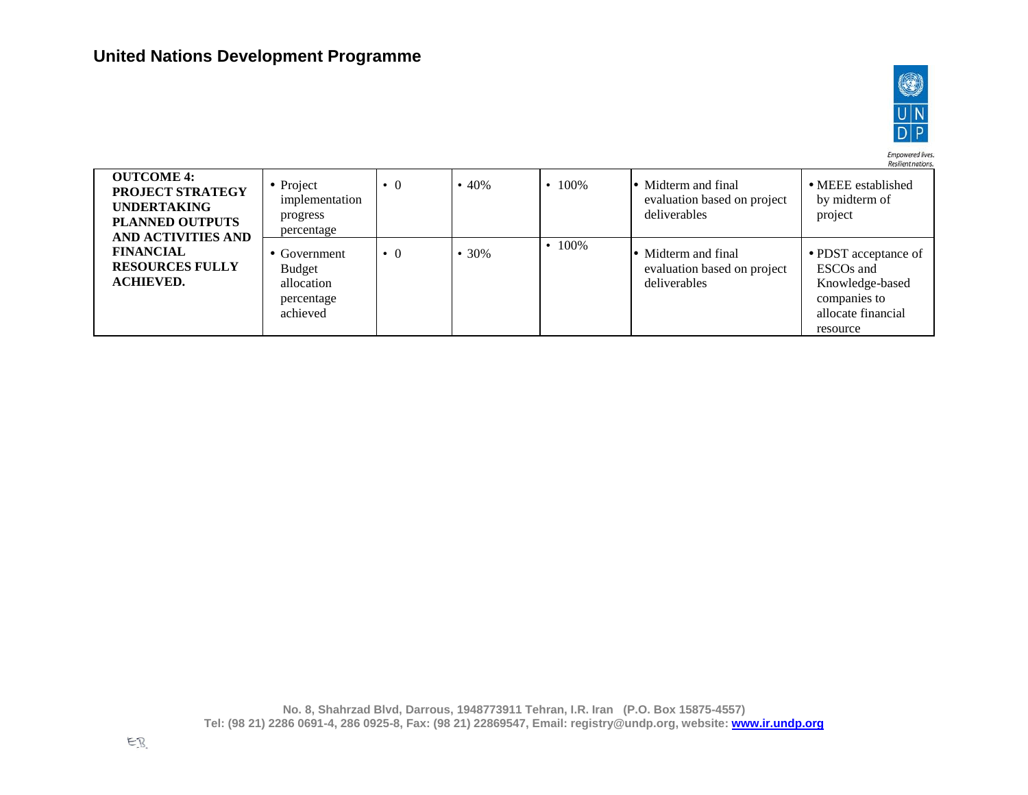

Empowered lives.<br>Resilient nations.

| <b>OUTCOME 4:</b><br><b>PROJECT STRATEGY</b><br><b>UNDERTAKING</b><br><b>PLANNED OUTPUTS</b><br>AND ACTIVITIES AND | • Project<br>implementation<br>progress<br>percentage                 | $\bullet$ 0 | $\cdot\ 40\%$ | $.100\%$     | • Midterm and final<br>evaluation based on project<br>deliverables | • MEEE established<br>by midterm of<br>project                                                                     |
|--------------------------------------------------------------------------------------------------------------------|-----------------------------------------------------------------------|-------------|---------------|--------------|--------------------------------------------------------------------|--------------------------------------------------------------------------------------------------------------------|
| <b>FINANCIAL</b><br><b>RESOURCES FULLY</b><br><b>ACHIEVED.</b>                                                     | • Government<br><b>Budget</b><br>allocation<br>percentage<br>achieved | $\cdot$ 0   | 30%           | $\cdot$ 100% | • Midterm and final<br>evaluation based on project<br>deliverables | • PDST acceptance of<br>ESCO <sub>s</sub> and<br>Knowledge-based<br>companies to<br>allocate financial<br>resource |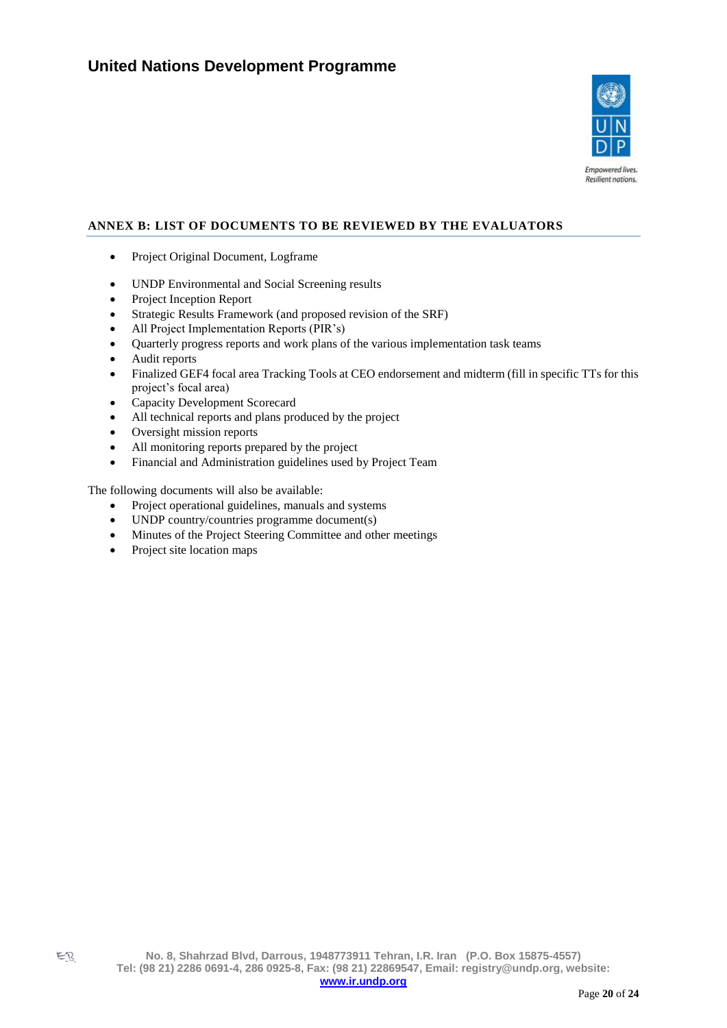

# <span id="page-19-0"></span>**ANNEX B: LIST OF DOCUMENTS TO BE REVIEWED BY THE EVALUATORS**

- Project Original Document, Logframe
- UNDP Environmental and Social Screening results
- Project Inception Report
- Strategic Results Framework (and proposed revision of the SRF)
- All Project Implementation Reports (PIR's)
- Quarterly progress reports and work plans of the various implementation task teams
- Audit reports
- Finalized GEF4 focal area Tracking Tools at CEO endorsement and midterm (fill in specific TTs for this project's focal area)
- Capacity Development Scorecard
- All technical reports and plans produced by the project
- Oversight mission reports
- All monitoring reports prepared by the project
- Financial and Administration guidelines used by Project Team

The following documents will also be available:

- Project operational guidelines, manuals and systems
- UNDP country/countries programme document(s)
- Minutes of the Project Steering Committee and other meetings
- Project site location maps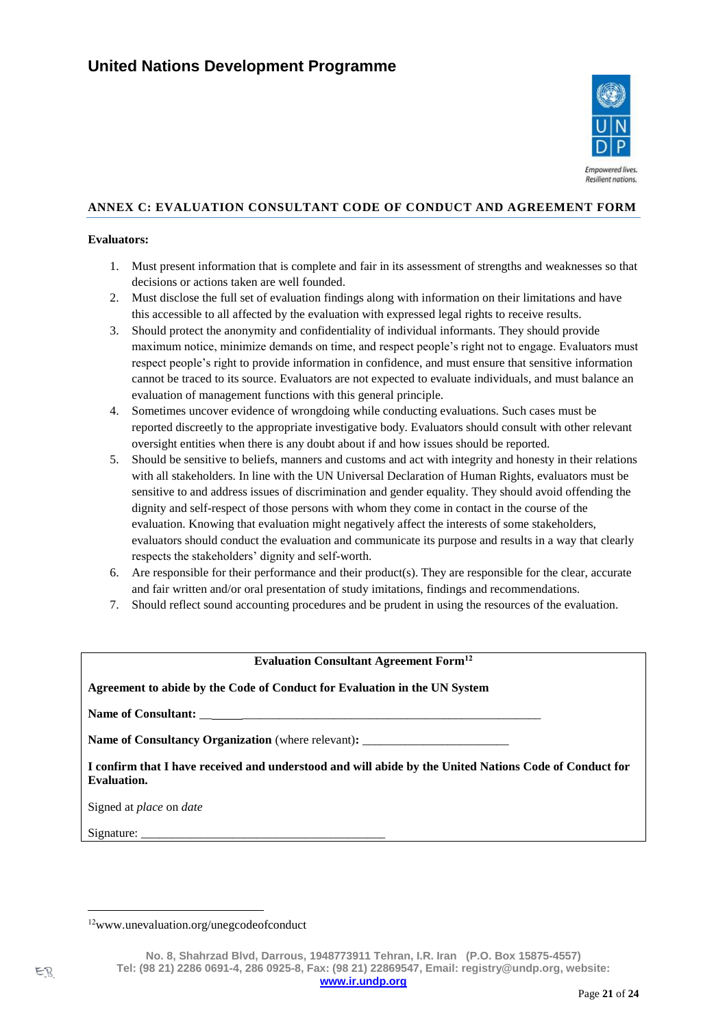

# **ANNEX C: EVALUATION CONSULTANT CODE OF CONDUCT AND AGREEMENT FORM**

#### **Evaluators:**

- 1. Must present information that is complete and fair in its assessment of strengths and weaknesses so that decisions or actions taken are well founded.
- 2. Must disclose the full set of evaluation findings along with information on their limitations and have this accessible to all affected by the evaluation with expressed legal rights to receive results.
- 3. Should protect the anonymity and confidentiality of individual informants. They should provide maximum notice, minimize demands on time, and respect people's right not to engage. Evaluators must respect people's right to provide information in confidence, and must ensure that sensitive information cannot be traced to its source. Evaluators are not expected to evaluate individuals, and must balance an evaluation of management functions with this general principle.
- 4. Sometimes uncover evidence of wrongdoing while conducting evaluations. Such cases must be reported discreetly to the appropriate investigative body. Evaluators should consult with other relevant oversight entities when there is any doubt about if and how issues should be reported.
- 5. Should be sensitive to beliefs, manners and customs and act with integrity and honesty in their relations with all stakeholders. In line with the UN Universal Declaration of Human Rights, evaluators must be sensitive to and address issues of discrimination and gender equality. They should avoid offending the dignity and self-respect of those persons with whom they come in contact in the course of the evaluation. Knowing that evaluation might negatively affect the interests of some stakeholders, evaluators should conduct the evaluation and communicate its purpose and results in a way that clearly respects the stakeholders' dignity and self-worth.
- 6. Are responsible for their performance and their product(s). They are responsible for the clear, accurate and fair written and/or oral presentation of study imitations, findings and recommendations.
- 7. Should reflect sound accounting procedures and be prudent in using the resources of the evaluation.

# **Evaluation Consultant Agreement Form<sup>12</sup>**

#### **Agreement to abide by the Code of Conduct for Evaluation in the UN System**

Name of Consultant: \_\_

**Name of Consultancy Organization** (where relevant)**:** \_\_\_\_\_\_\_\_\_\_\_\_\_\_\_\_\_\_\_\_\_\_\_\_

**I confirm that I have received and understood and will abide by the United Nations Code of Conduct for Evaluation.** 

Signed at *place* on *date*

Signature:

<sup>12</sup>www.unevaluation.org/unegcodeofconduct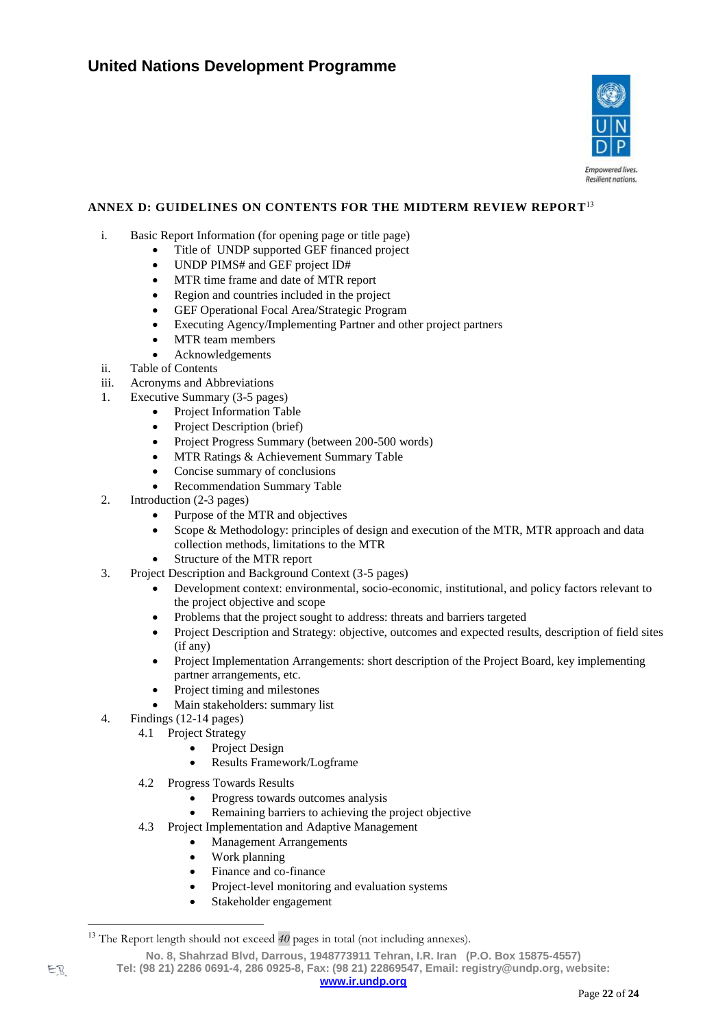

## **ANNEX D: GUIDELINES ON CONTENTS FOR THE MIDTERM REVIEW REPORT** 13

- i. Basic Report Information (for opening page or title page)
	- Title of UNDP supported GEF financed project
		- UNDP PIMS# and GEF project ID#
		- MTR time frame and date of MTR report
		- Region and countries included in the project
		- GEF Operational Focal Area/Strategic Program
		- Executing Agency/Implementing Partner and other project partners
		- MTR team members
		- Acknowledgements
- ii. Table of Contents
- iii. Acronyms and Abbreviations
- 1. Executive Summary (3-5 pages)
	- Project Information Table
	- Project Description (brief)
	- Project Progress Summary (between 200-500 words)
	- MTR Ratings & Achievement Summary Table
	- Concise summary of conclusions
	- Recommendation Summary Table
- 2. Introduction (2-3 pages)
	- Purpose of the MTR and objectives
	- Scope & Methodology: principles of design and execution of the MTR, MTR approach and data collection methods, limitations to the MTR
	- Structure of the MTR report
- 3. Project Description and Background Context (3-5 pages)
	- Development context: environmental, socio-economic, institutional, and policy factors relevant to the project objective and scope
	- Problems that the project sought to address: threats and barriers targeted
	- Project Description and Strategy: objective, outcomes and expected results, description of field sites (if any)
	- Project Implementation Arrangements: short description of the Project Board, key implementing partner arrangements, etc.
	- Project timing and milestones
	- Main stakeholders: summary list
- 4. Findings (12-14 pages)
	- 4.1 Project Strategy
		- Project Design
		- Results Framework/Logframe
	- 4.2 Progress Towards Results
		- Progress towards outcomes analysis
		- Remaining barriers to achieving the project objective
	- 4.3 Project Implementation and Adaptive Management
		- Management Arrangements
		- Work planning
		- Finance and co-finance
		- Project-level monitoring and evaluation systems
		- Stakeholder engagement

**Tel: (98 21) 2286 0691-4, 286 0925-8, Fax: (98 21) 22869547, Email: registry@undp.org, website:** 

<sup>&</sup>lt;sup>13</sup> The Report length should not exceed  $40$  pages in total (not including annexes).

**No. 8, Shahrzad Blvd, Darrous, 1948773911 Tehran, I.R. Iran (P.O. Box 15875-4557)**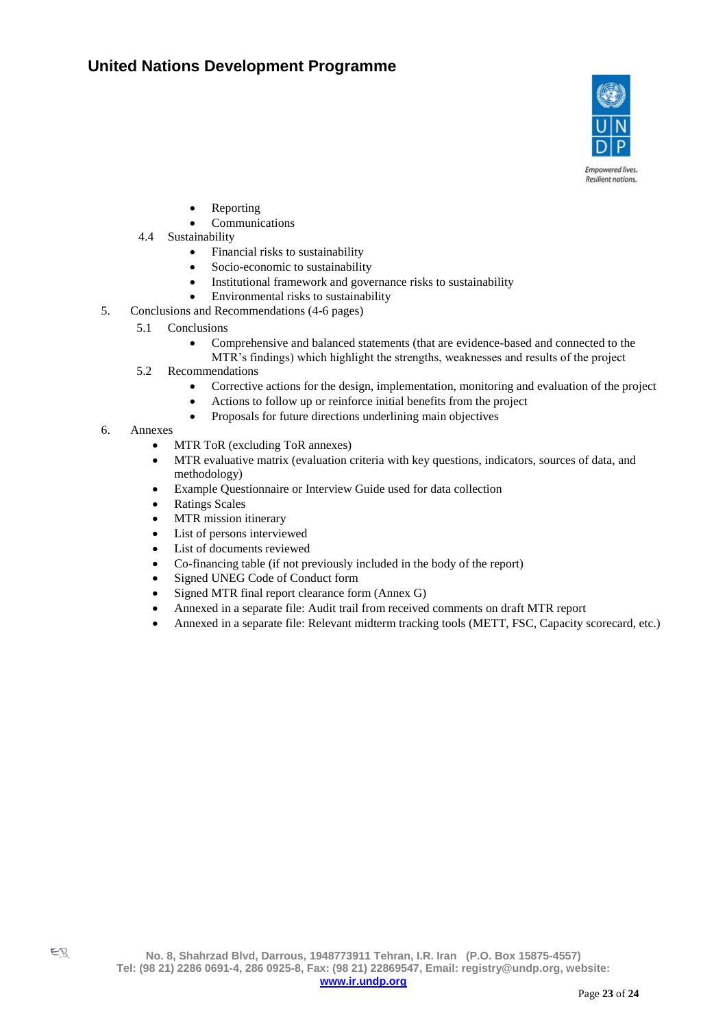

**Empowered lives** Resilient nations.

- **Reporting**
- **Communications**
- 4.4 Sustainability
	- Financial risks to sustainability
	- Socio-economic to sustainability
	- Institutional framework and governance risks to sustainability
	- Environmental risks to sustainability
- 5. Conclusions and Recommendations (4-6 pages)
	- 5.1 Conclusions
		- Comprehensive and balanced statements (that are evidence-based and connected to the MTR's findings) which highlight the strengths, weaknesses and results of the project
	- 5.2 Recommendations
		- Corrective actions for the design, implementation, monitoring and evaluation of the project
		- Actions to follow up or reinforce initial benefits from the project
		- Proposals for future directions underlining main objectives
- 6. Annexes
	- MTR ToR (excluding ToR annexes)
	- MTR evaluative matrix (evaluation criteria with key questions, indicators, sources of data, and methodology)
	- Example Questionnaire or Interview Guide used for data collection
	- Ratings Scales
	- MTR mission itinerary
	- List of persons interviewed
	- List of documents reviewed
	- Co-financing table (if not previously included in the body of the report)
	- Signed UNEG Code of Conduct form
	- Signed MTR final report clearance form (Annex G)
	- Annexed in a separate file: Audit trail from received comments on draft MTR report
	- Annexed in a separate file: Relevant midterm tracking tools (METT, FSC, Capacity scorecard, etc.)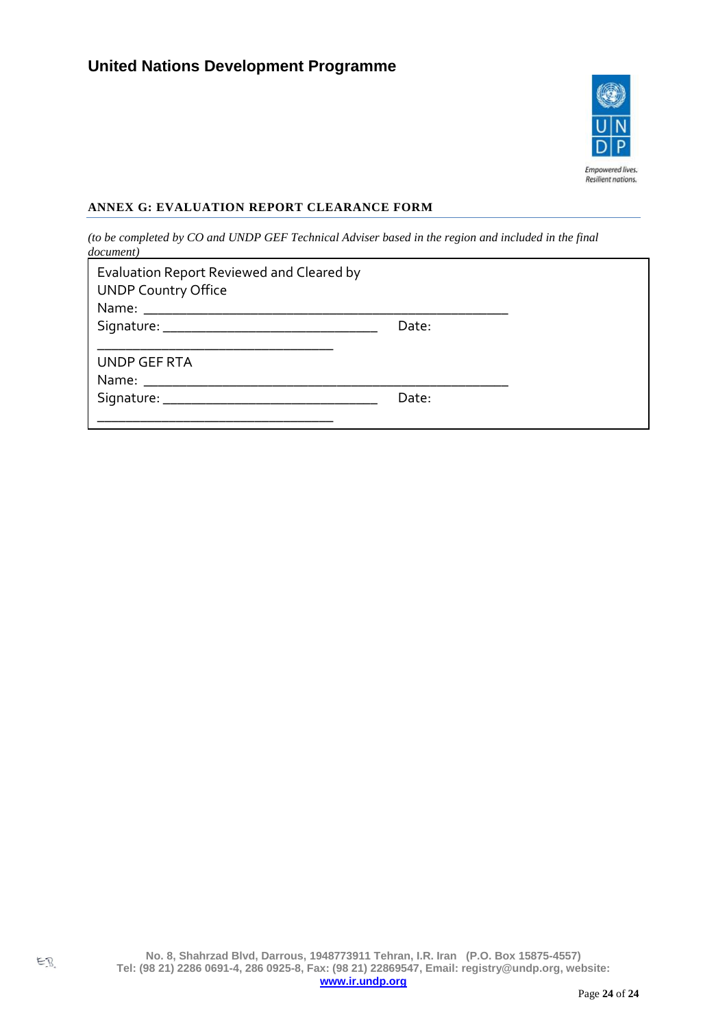

# **ANNEX G: EVALUATION REPORT CLEARANCE FORM**

*(to be completed by CO and UNDP GEF Technical Adviser based in the region and included in the final document)*

| Evaluation Report Reviewed and Cleared by<br><b>UNDP Country Office</b> |       |  |
|-------------------------------------------------------------------------|-------|--|
|                                                                         | Date: |  |
| UNDP GEF RTA                                                            |       |  |
|                                                                         | Date: |  |
|                                                                         |       |  |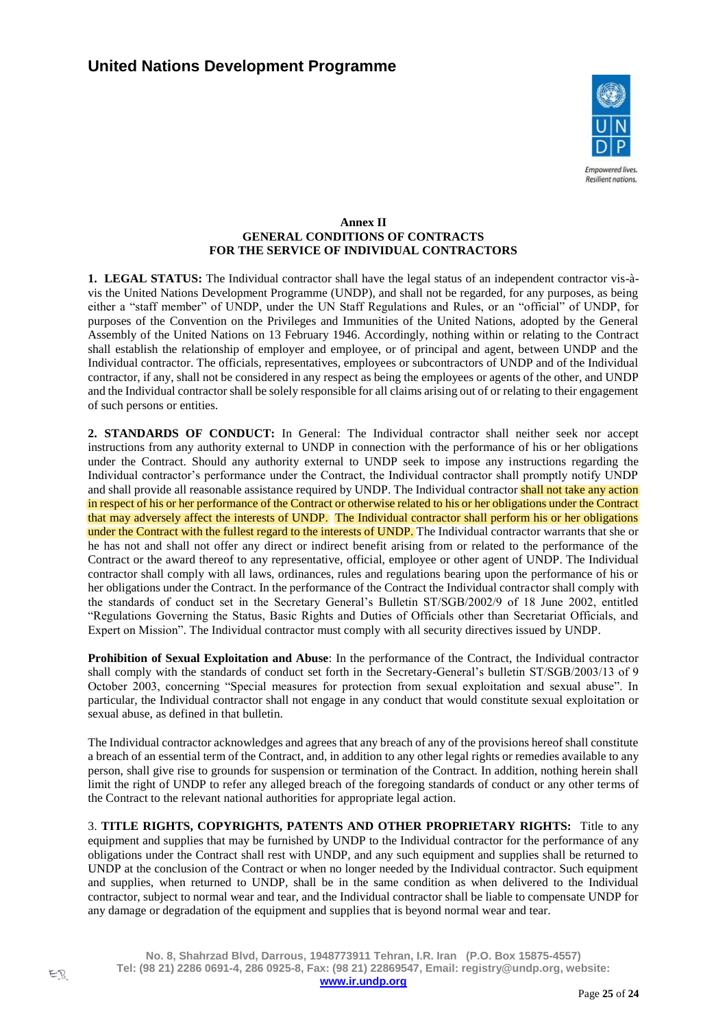

#### **Annex II GENERAL CONDITIONS OF CONTRACTS FOR THE SERVICE OF INDIVIDUAL CONTRACTORS**

**1. LEGAL STATUS:** The Individual contractor shall have the legal status of an independent contractor vis-àvis the United Nations Development Programme (UNDP), and shall not be regarded, for any purposes, as being either a "staff member" of UNDP, under the UN Staff Regulations and Rules, or an "official" of UNDP, for purposes of the Convention on the Privileges and Immunities of the United Nations, adopted by the General Assembly of the United Nations on 13 February 1946. Accordingly, nothing within or relating to the Contract shall establish the relationship of employer and employee, or of principal and agent, between UNDP and the Individual contractor. The officials, representatives, employees or subcontractors of UNDP and of the Individual contractor, if any, shall not be considered in any respect as being the employees or agents of the other, and UNDP and the Individual contractor shall be solely responsible for all claims arising out of or relating to their engagement of such persons or entities.

**2. STANDARDS OF CONDUCT:** In General: The Individual contractor shall neither seek nor accept instructions from any authority external to UNDP in connection with the performance of his or her obligations under the Contract. Should any authority external to UNDP seek to impose any instructions regarding the Individual contractor's performance under the Contract, the Individual contractor shall promptly notify UNDP and shall provide all reasonable assistance required by UNDP. The Individual contractor shall not take any action in respect of his or her performance of the Contract or otherwise related to his or her obligations under the Contract that may adversely affect the interests of UNDP. The Individual contractor shall perform his or her obligations under the Contract with the fullest regard to the interests of UNDP. The Individual contractor warrants that she or he has not and shall not offer any direct or indirect benefit arising from or related to the performance of the Contract or the award thereof to any representative, official, employee or other agent of UNDP. The Individual contractor shall comply with all laws, ordinances, rules and regulations bearing upon the performance of his or her obligations under the Contract. In the performance of the Contract the Individual contractor shall comply with the standards of conduct set in the Secretary General's Bulletin ST/SGB/2002/9 of 18 June 2002, entitled "Regulations Governing the Status, Basic Rights and Duties of Officials other than Secretariat Officials, and Expert on Mission". The Individual contractor must comply with all security directives issued by UNDP.

**Prohibition of Sexual Exploitation and Abuse**: In the performance of the Contract, the Individual contractor shall comply with the standards of conduct set forth in the Secretary-General's bulletin ST/SGB/2003/13 of 9 October 2003, concerning "Special measures for protection from sexual exploitation and sexual abuse". In particular, the Individual contractor shall not engage in any conduct that would constitute sexual exploitation or sexual abuse, as defined in that bulletin.

The Individual contractor acknowledges and agrees that any breach of any of the provisions hereof shall constitute a breach of an essential term of the Contract, and, in addition to any other legal rights or remedies available to any person, shall give rise to grounds for suspension or termination of the Contract. In addition, nothing herein shall limit the right of UNDP to refer any alleged breach of the foregoing standards of conduct or any other terms of the Contract to the relevant national authorities for appropriate legal action.

3. **TITLE RIGHTS, COPYRIGHTS, PATENTS AND OTHER PROPRIETARY RIGHTS:** Title to any equipment and supplies that may be furnished by UNDP to the Individual contractor for the performance of any obligations under the Contract shall rest with UNDP, and any such equipment and supplies shall be returned to UNDP at the conclusion of the Contract or when no longer needed by the Individual contractor. Such equipment and supplies, when returned to UNDP, shall be in the same condition as when delivered to the Individual contractor, subject to normal wear and tear, and the Individual contractor shall be liable to compensate UNDP for any damage or degradation of the equipment and supplies that is beyond normal wear and tear.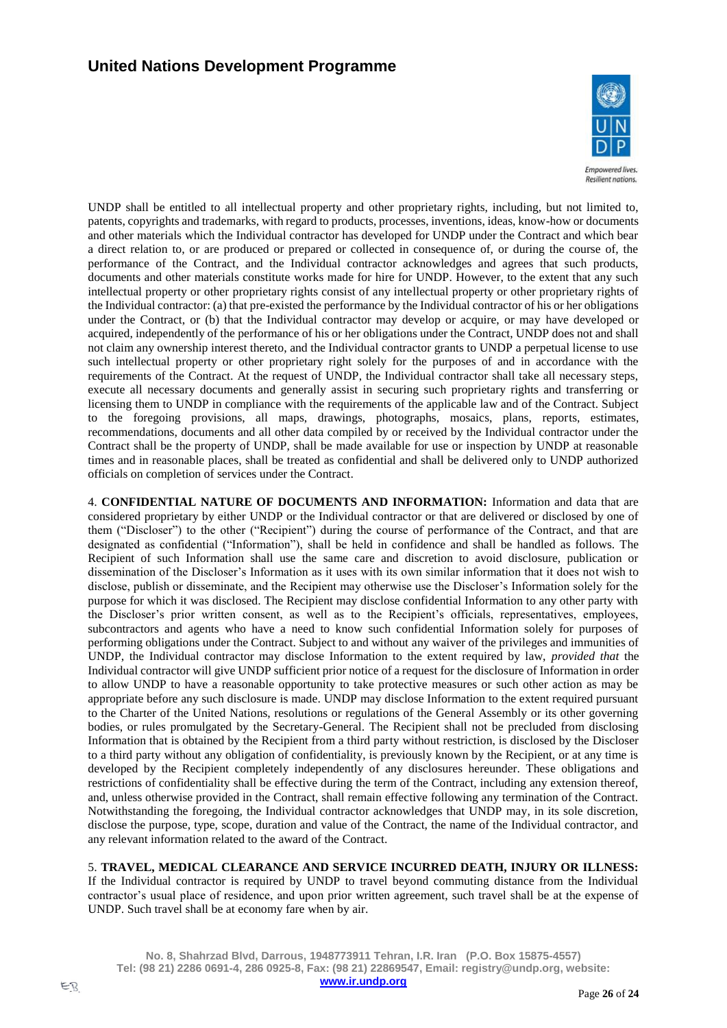

**Empowered lives. Resilient nations** 

UNDP shall be entitled to all intellectual property and other proprietary rights, including, but not limited to, patents, copyrights and trademarks, with regard to products, processes, inventions, ideas, know-how or documents and other materials which the Individual contractor has developed for UNDP under the Contract and which bear a direct relation to, or are produced or prepared or collected in consequence of, or during the course of, the performance of the Contract, and the Individual contractor acknowledges and agrees that such products, documents and other materials constitute works made for hire for UNDP. However, to the extent that any such intellectual property or other proprietary rights consist of any intellectual property or other proprietary rights of the Individual contractor: (a) that pre-existed the performance by the Individual contractor of his or her obligations under the Contract, or (b) that the Individual contractor may develop or acquire, or may have developed or acquired, independently of the performance of his or her obligations under the Contract, UNDP does not and shall not claim any ownership interest thereto, and the Individual contractor grants to UNDP a perpetual license to use such intellectual property or other proprietary right solely for the purposes of and in accordance with the requirements of the Contract. At the request of UNDP, the Individual contractor shall take all necessary steps, execute all necessary documents and generally assist in securing such proprietary rights and transferring or licensing them to UNDP in compliance with the requirements of the applicable law and of the Contract. Subject to the foregoing provisions, all maps, drawings, photographs, mosaics, plans, reports, estimates, recommendations, documents and all other data compiled by or received by the Individual contractor under the Contract shall be the property of UNDP, shall be made available for use or inspection by UNDP at reasonable times and in reasonable places, shall be treated as confidential and shall be delivered only to UNDP authorized officials on completion of services under the Contract.

4. **CONFIDENTIAL NATURE OF DOCUMENTS AND INFORMATION:** Information and data that are considered proprietary by either UNDP or the Individual contractor or that are delivered or disclosed by one of them ("Discloser") to the other ("Recipient") during the course of performance of the Contract, and that are designated as confidential ("Information"), shall be held in confidence and shall be handled as follows. The Recipient of such Information shall use the same care and discretion to avoid disclosure, publication or dissemination of the Discloser's Information as it uses with its own similar information that it does not wish to disclose, publish or disseminate, and the Recipient may otherwise use the Discloser's Information solely for the purpose for which it was disclosed. The Recipient may disclose confidential Information to any other party with the Discloser's prior written consent, as well as to the Recipient's officials, representatives, employees, subcontractors and agents who have a need to know such confidential Information solely for purposes of performing obligations under the Contract. Subject to and without any waiver of the privileges and immunities of UNDP, the Individual contractor may disclose Information to the extent required by law, *provided that* the Individual contractor will give UNDP sufficient prior notice of a request for the disclosure of Information in order to allow UNDP to have a reasonable opportunity to take protective measures or such other action as may be appropriate before any such disclosure is made. UNDP may disclose Information to the extent required pursuant to the Charter of the United Nations, resolutions or regulations of the General Assembly or its other governing bodies, or rules promulgated by the Secretary-General. The Recipient shall not be precluded from disclosing Information that is obtained by the Recipient from a third party without restriction, is disclosed by the Discloser to a third party without any obligation of confidentiality, is previously known by the Recipient, or at any time is developed by the Recipient completely independently of any disclosures hereunder. These obligations and restrictions of confidentiality shall be effective during the term of the Contract, including any extension thereof, and, unless otherwise provided in the Contract, shall remain effective following any termination of the Contract. Notwithstanding the foregoing, the Individual contractor acknowledges that UNDP may, in its sole discretion, disclose the purpose, type, scope, duration and value of the Contract, the name of the Individual contractor, and any relevant information related to the award of the Contract.

5. **TRAVEL, MEDICAL CLEARANCE AND SERVICE INCURRED DEATH, INJURY OR ILLNESS:**

If the Individual contractor is required by UNDP to travel beyond commuting distance from the Individual contractor's usual place of residence, and upon prior written agreement, such travel shall be at the expense of UNDP. Such travel shall be at economy fare when by air.

**No. 8, Shahrzad Blvd, Darrous, 1948773911 Tehran, I.R. Iran (P.O. Box 15875-4557) Tel: (98 21) 2286 0691-4, 286 0925-8, Fax: (98 21) 22869547, Email: registry@undp.org, website:**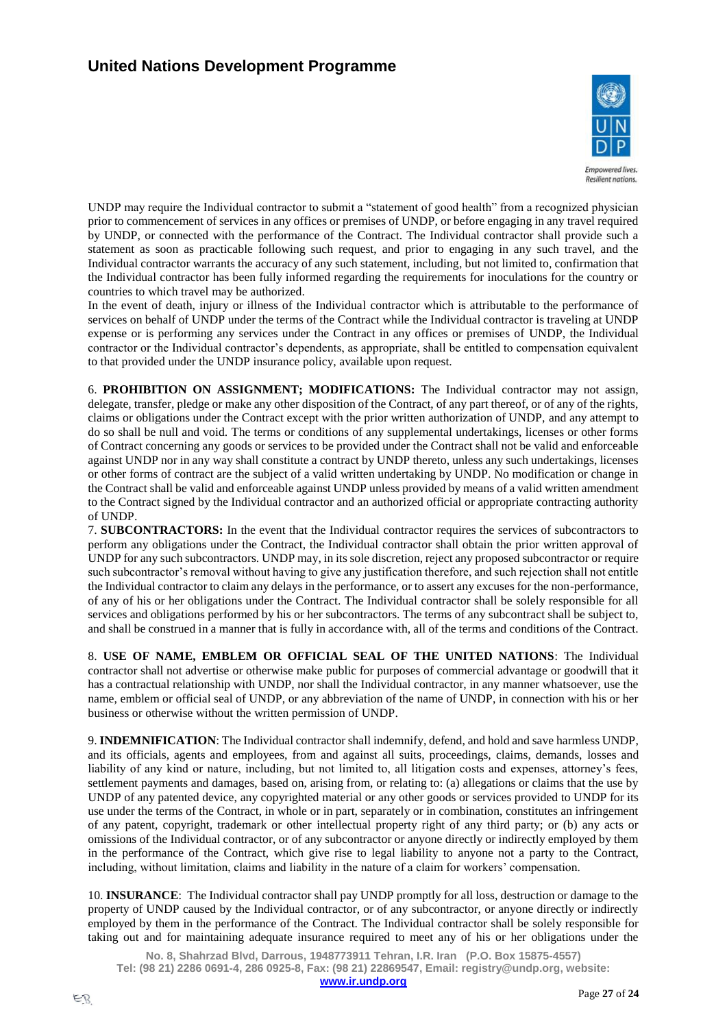

**Empowered lives Resilient nations** 

UNDP may require the Individual contractor to submit a "statement of good health" from a recognized physician prior to commencement of services in any offices or premises of UNDP, or before engaging in any travel required by UNDP, or connected with the performance of the Contract. The Individual contractor shall provide such a statement as soon as practicable following such request, and prior to engaging in any such travel, and the Individual contractor warrants the accuracy of any such statement, including, but not limited to, confirmation that the Individual contractor has been fully informed regarding the requirements for inoculations for the country or countries to which travel may be authorized.

In the event of death, injury or illness of the Individual contractor which is attributable to the performance of services on behalf of UNDP under the terms of the Contract while the Individual contractor is traveling at UNDP expense or is performing any services under the Contract in any offices or premises of UNDP, the Individual contractor or the Individual contractor's dependents, as appropriate, shall be entitled to compensation equivalent to that provided under the UNDP insurance policy, available upon request.

6. **PROHIBITION ON ASSIGNMENT; MODIFICATIONS:** The Individual contractor may not assign, delegate, transfer, pledge or make any other disposition of the Contract, of any part thereof, or of any of the rights, claims or obligations under the Contract except with the prior written authorization of UNDP, and any attempt to do so shall be null and void. The terms or conditions of any supplemental undertakings, licenses or other forms of Contract concerning any goods or services to be provided under the Contract shall not be valid and enforceable against UNDP nor in any way shall constitute a contract by UNDP thereto, unless any such undertakings, licenses or other forms of contract are the subject of a valid written undertaking by UNDP. No modification or change in the Contract shall be valid and enforceable against UNDP unless provided by means of a valid written amendment to the Contract signed by the Individual contractor and an authorized official or appropriate contracting authority of UNDP.

7. **SUBCONTRACTORS:** In the event that the Individual contractor requires the services of subcontractors to perform any obligations under the Contract, the Individual contractor shall obtain the prior written approval of UNDP for any such subcontractors. UNDP may, in its sole discretion, reject any proposed subcontractor or require such subcontractor's removal without having to give any justification therefore, and such rejection shall not entitle the Individual contractor to claim any delays in the performance, or to assert any excuses for the non-performance, of any of his or her obligations under the Contract. The Individual contractor shall be solely responsible for all services and obligations performed by his or her subcontractors. The terms of any subcontract shall be subject to, and shall be construed in a manner that is fully in accordance with, all of the terms and conditions of the Contract.

8. **USE OF NAME, EMBLEM OR OFFICIAL SEAL OF THE UNITED NATIONS**: The Individual contractor shall not advertise or otherwise make public for purposes of commercial advantage or goodwill that it has a contractual relationship with UNDP, nor shall the Individual contractor, in any manner whatsoever, use the name, emblem or official seal of UNDP, or any abbreviation of the name of UNDP, in connection with his or her business or otherwise without the written permission of UNDP.

9. **INDEMNIFICATION**: The Individual contractor shall indemnify, defend, and hold and save harmless UNDP, and its officials, agents and employees, from and against all suits, proceedings, claims, demands, losses and liability of any kind or nature, including, but not limited to, all litigation costs and expenses, attorney's fees, settlement payments and damages, based on, arising from, or relating to: (a) allegations or claims that the use by UNDP of any patented device, any copyrighted material or any other goods or services provided to UNDP for its use under the terms of the Contract, in whole or in part, separately or in combination, constitutes an infringement of any patent, copyright, trademark or other intellectual property right of any third party; or (b) any acts or omissions of the Individual contractor, or of any subcontractor or anyone directly or indirectly employed by them in the performance of the Contract, which give rise to legal liability to anyone not a party to the Contract, including, without limitation, claims and liability in the nature of a claim for workers' compensation.

10. **INSURANCE**: The Individual contractor shall pay UNDP promptly for all loss, destruction or damage to the property of UNDP caused by the Individual contractor, or of any subcontractor, or anyone directly or indirectly employed by them in the performance of the Contract. The Individual contractor shall be solely responsible for taking out and for maintaining adequate insurance required to meet any of his or her obligations under the

**No. 8, Shahrzad Blvd, Darrous, 1948773911 Tehran, I.R. Iran (P.O. Box 15875-4557) Tel: (98 21) 2286 0691-4, 286 0925-8, Fax: (98 21) 22869547, Email: registry@undp.org, website:**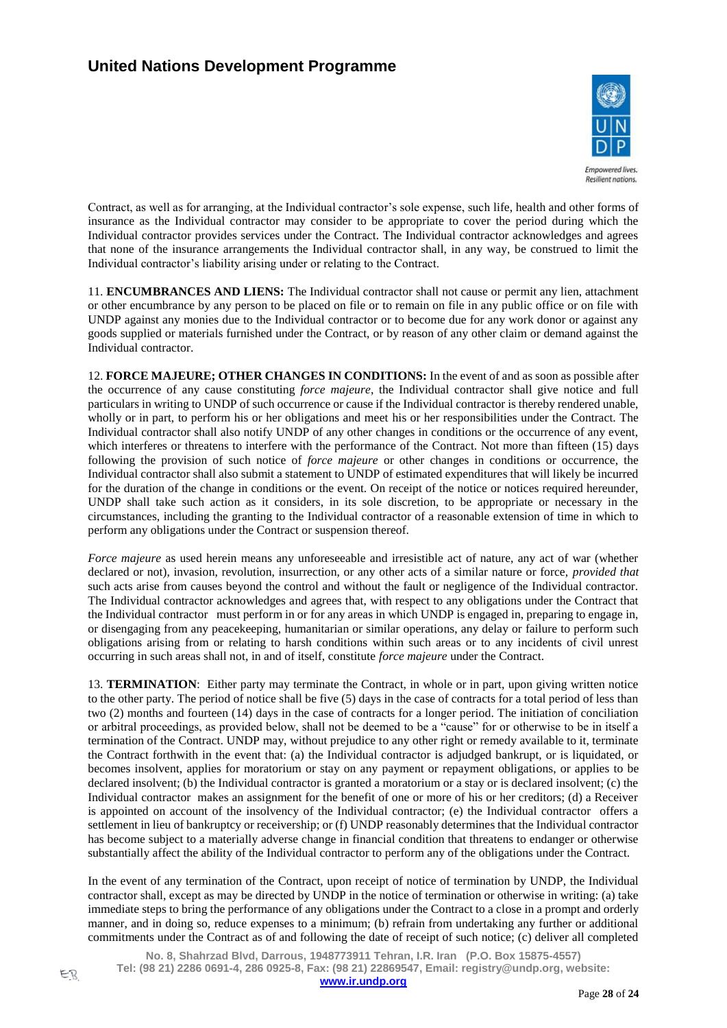

**Resilient nations** 

Contract, as well as for arranging, at the Individual contractor's sole expense, such life, health and other forms of insurance as the Individual contractor may consider to be appropriate to cover the period during which the Individual contractor provides services under the Contract. The Individual contractor acknowledges and agrees that none of the insurance arrangements the Individual contractor shall, in any way, be construed to limit the Individual contractor's liability arising under or relating to the Contract.

11. **ENCUMBRANCES AND LIENS:** The Individual contractor shall not cause or permit any lien, attachment or other encumbrance by any person to be placed on file or to remain on file in any public office or on file with UNDP against any monies due to the Individual contractor or to become due for any work donor or against any goods supplied or materials furnished under the Contract, or by reason of any other claim or demand against the Individual contractor.

12. **FORCE MAJEURE; OTHER CHANGES IN CONDITIONS:** In the event of and as soon as possible after the occurrence of any cause constituting *force majeure*, the Individual contractor shall give notice and full particulars in writing to UNDP of such occurrence or cause if the Individual contractor is thereby rendered unable, wholly or in part, to perform his or her obligations and meet his or her responsibilities under the Contract. The Individual contractor shall also notify UNDP of any other changes in conditions or the occurrence of any event, which interferes or threatens to interfere with the performance of the Contract. Not more than fifteen (15) days following the provision of such notice of *force majeure* or other changes in conditions or occurrence, the Individual contractor shall also submit a statement to UNDP of estimated expenditures that will likely be incurred for the duration of the change in conditions or the event. On receipt of the notice or notices required hereunder, UNDP shall take such action as it considers, in its sole discretion, to be appropriate or necessary in the circumstances, including the granting to the Individual contractor of a reasonable extension of time in which to perform any obligations under the Contract or suspension thereof.

*Force majeure* as used herein means any unforeseeable and irresistible act of nature, any act of war (whether declared or not), invasion, revolution, insurrection, or any other acts of a similar nature or force, *provided that*  such acts arise from causes beyond the control and without the fault or negligence of the Individual contractor. The Individual contractor acknowledges and agrees that, with respect to any obligations under the Contract that the Individual contractor must perform in or for any areas in which UNDP is engaged in, preparing to engage in, or disengaging from any peacekeeping, humanitarian or similar operations, any delay or failure to perform such obligations arising from or relating to harsh conditions within such areas or to any incidents of civil unrest occurring in such areas shall not, in and of itself, constitute *force majeure* under the Contract.

13. **TERMINATION**: Either party may terminate the Contract, in whole or in part, upon giving written notice to the other party. The period of notice shall be five (5) days in the case of contracts for a total period of less than two (2) months and fourteen (14) days in the case of contracts for a longer period. The initiation of conciliation or arbitral proceedings, as provided below, shall not be deemed to be a "cause" for or otherwise to be in itself a termination of the Contract. UNDP may, without prejudice to any other right or remedy available to it, terminate the Contract forthwith in the event that: (a) the Individual contractor is adjudged bankrupt, or is liquidated, or becomes insolvent, applies for moratorium or stay on any payment or repayment obligations, or applies to be declared insolvent; (b) the Individual contractor is granted a moratorium or a stay or is declared insolvent; (c) the Individual contractor makes an assignment for the benefit of one or more of his or her creditors; (d) a Receiver is appointed on account of the insolvency of the Individual contractor; (e) the Individual contractor offers a settlement in lieu of bankruptcy or receivership; or (f) UNDP reasonably determines that the Individual contractor has become subject to a materially adverse change in financial condition that threatens to endanger or otherwise substantially affect the ability of the Individual contractor to perform any of the obligations under the Contract.

In the event of any termination of the Contract, upon receipt of notice of termination by UNDP, the Individual contractor shall, except as may be directed by UNDP in the notice of termination or otherwise in writing: (a) take immediate steps to bring the performance of any obligations under the Contract to a close in a prompt and orderly manner, and in doing so, reduce expenses to a minimum; (b) refrain from undertaking any further or additional commitments under the Contract as of and following the date of receipt of such notice; (c) deliver all completed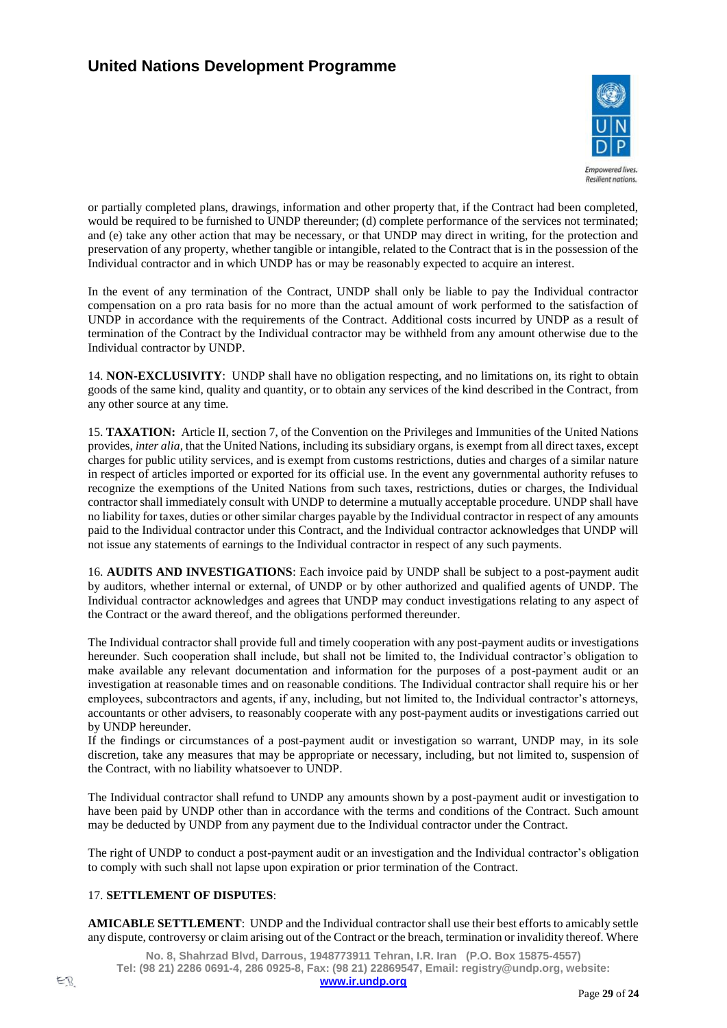

**Empowered lives. Resilient nations** 

or partially completed plans, drawings, information and other property that, if the Contract had been completed, would be required to be furnished to UNDP thereunder; (d) complete performance of the services not terminated; and (e) take any other action that may be necessary, or that UNDP may direct in writing, for the protection and preservation of any property, whether tangible or intangible, related to the Contract that is in the possession of the Individual contractor and in which UNDP has or may be reasonably expected to acquire an interest.

In the event of any termination of the Contract, UNDP shall only be liable to pay the Individual contractor compensation on a pro rata basis for no more than the actual amount of work performed to the satisfaction of UNDP in accordance with the requirements of the Contract. Additional costs incurred by UNDP as a result of termination of the Contract by the Individual contractor may be withheld from any amount otherwise due to the Individual contractor by UNDP.

14. **NON-EXCLUSIVITY**: UNDP shall have no obligation respecting, and no limitations on, its right to obtain goods of the same kind, quality and quantity, or to obtain any services of the kind described in the Contract, from any other source at any time.

15. **TAXATION:** Article II, section 7, of the Convention on the Privileges and Immunities of the United Nations provides, *inter alia*, that the United Nations, including its subsidiary organs, is exempt from all direct taxes, except charges for public utility services, and is exempt from customs restrictions, duties and charges of a similar nature in respect of articles imported or exported for its official use. In the event any governmental authority refuses to recognize the exemptions of the United Nations from such taxes, restrictions, duties or charges, the Individual contractor shall immediately consult with UNDP to determine a mutually acceptable procedure. UNDP shall have no liability for taxes, duties or other similar charges payable by the Individual contractor in respect of any amounts paid to the Individual contractor under this Contract, and the Individual contractor acknowledges that UNDP will not issue any statements of earnings to the Individual contractor in respect of any such payments.

16. **AUDITS AND INVESTIGATIONS**: Each invoice paid by UNDP shall be subject to a post-payment audit by auditors, whether internal or external, of UNDP or by other authorized and qualified agents of UNDP. The Individual contractor acknowledges and agrees that UNDP may conduct investigations relating to any aspect of the Contract or the award thereof, and the obligations performed thereunder.

The Individual contractor shall provide full and timely cooperation with any post-payment audits or investigations hereunder. Such cooperation shall include, but shall not be limited to, the Individual contractor's obligation to make available any relevant documentation and information for the purposes of a post-payment audit or an investigation at reasonable times and on reasonable conditions. The Individual contractor shall require his or her employees, subcontractors and agents, if any, including, but not limited to, the Individual contractor's attorneys, accountants or other advisers, to reasonably cooperate with any post-payment audits or investigations carried out by UNDP hereunder.

If the findings or circumstances of a post-payment audit or investigation so warrant, UNDP may, in its sole discretion, take any measures that may be appropriate or necessary, including, but not limited to, suspension of the Contract, with no liability whatsoever to UNDP.

The Individual contractor shall refund to UNDP any amounts shown by a post-payment audit or investigation to have been paid by UNDP other than in accordance with the terms and conditions of the Contract. Such amount may be deducted by UNDP from any payment due to the Individual contractor under the Contract.

The right of UNDP to conduct a post-payment audit or an investigation and the Individual contractor's obligation to comply with such shall not lapse upon expiration or prior termination of the Contract.

# 17. **SETTLEMENT OF DISPUTES**:

**AMICABLE SETTLEMENT**: UNDP and the Individual contractor shall use their best efforts to amicably settle any dispute, controversy or claim arising out of the Contract or the breach, termination or invalidity thereof. Where

**No. 8, Shahrzad Blvd, Darrous, 1948773911 Tehran, I.R. Iran (P.O. Box 15875-4557) Tel: (98 21) 2286 0691-4, 286 0925-8, Fax: (98 21) 22869547, Email: registry@undp.org, website:**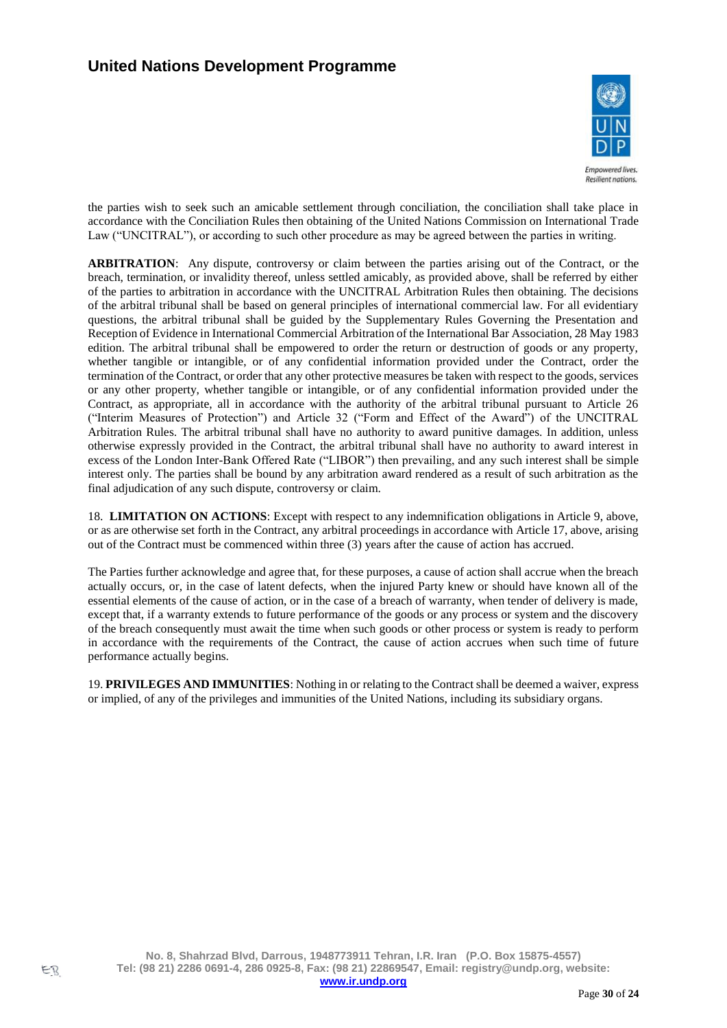

**Empowered lives Resilient nations** 

the parties wish to seek such an amicable settlement through conciliation, the conciliation shall take place in accordance with the Conciliation Rules then obtaining of the United Nations Commission on International Trade Law ("UNCITRAL"), or according to such other procedure as may be agreed between the parties in writing.

**ARBITRATION**: Any dispute, controversy or claim between the parties arising out of the Contract, or the breach, termination, or invalidity thereof, unless settled amicably, as provided above, shall be referred by either of the parties to arbitration in accordance with the UNCITRAL Arbitration Rules then obtaining. The decisions of the arbitral tribunal shall be based on general principles of international commercial law. For all evidentiary questions, the arbitral tribunal shall be guided by the Supplementary Rules Governing the Presentation and Reception of Evidence in International Commercial Arbitration of the International Bar Association, 28 May 1983 edition. The arbitral tribunal shall be empowered to order the return or destruction of goods or any property, whether tangible or intangible, or of any confidential information provided under the Contract, order the termination of the Contract, or order that any other protective measures be taken with respect to the goods, services or any other property, whether tangible or intangible, or of any confidential information provided under the Contract, as appropriate, all in accordance with the authority of the arbitral tribunal pursuant to Article 26 ("Interim Measures of Protection") and Article 32 ("Form and Effect of the Award") of the UNCITRAL Arbitration Rules. The arbitral tribunal shall have no authority to award punitive damages. In addition, unless otherwise expressly provided in the Contract, the arbitral tribunal shall have no authority to award interest in excess of the London Inter-Bank Offered Rate ("LIBOR") then prevailing, and any such interest shall be simple interest only. The parties shall be bound by any arbitration award rendered as a result of such arbitration as the final adjudication of any such dispute, controversy or claim.

18. **LIMITATION ON ACTIONS**: Except with respect to any indemnification obligations in Article 9, above, or as are otherwise set forth in the Contract, any arbitral proceedings in accordance with Article 17, above, arising out of the Contract must be commenced within three (3) years after the cause of action has accrued.

The Parties further acknowledge and agree that, for these purposes, a cause of action shall accrue when the breach actually occurs, or, in the case of latent defects, when the injured Party knew or should have known all of the essential elements of the cause of action, or in the case of a breach of warranty, when tender of delivery is made, except that, if a warranty extends to future performance of the goods or any process or system and the discovery of the breach consequently must await the time when such goods or other process or system is ready to perform in accordance with the requirements of the Contract, the cause of action accrues when such time of future performance actually begins.

19. **PRIVILEGES AND IMMUNITIES**: Nothing in or relating to the Contract shall be deemed a waiver, express or implied, of any of the privileges and immunities of the United Nations, including its subsidiary organs.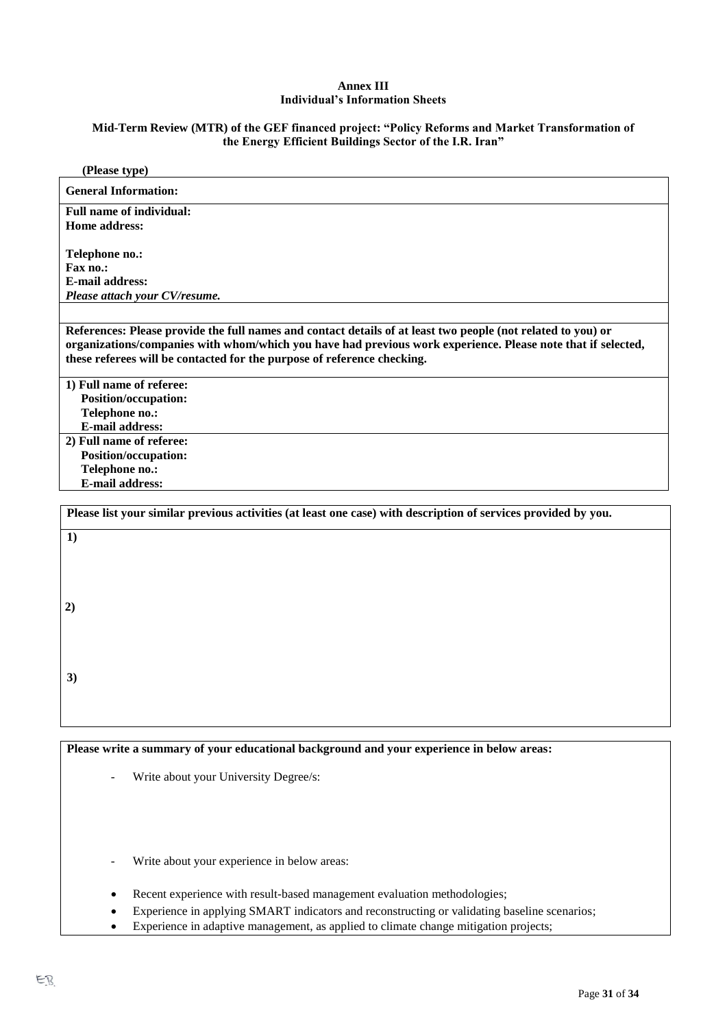#### **Annex III Individual's Information Sheets**

#### **Mid-Term Review (MTR) of the GEF financed project: "Policy Reforms and Market Transformation of the Energy Efficient Buildings Sector of the I.R. Iran"**

| (Please type)                                                                                                  |
|----------------------------------------------------------------------------------------------------------------|
| <b>General Information:</b>                                                                                    |
| <b>Full name of individual:</b>                                                                                |
| Home address:                                                                                                  |
|                                                                                                                |
| Telephone no.:                                                                                                 |
| Fax no.:<br><b>E-mail address:</b>                                                                             |
| Please attach your CV/resume.                                                                                  |
|                                                                                                                |
| References: Please provide the full names and contact details of at least two people (not related to you) or   |
| organizations/companies with whom/which you have had previous work experience. Please note that if selected,   |
| these referees will be contacted for the purpose of reference checking.                                        |
|                                                                                                                |
| 1) Full name of referee:                                                                                       |
| <b>Position/occupation:</b><br>Telephone no.:                                                                  |
| <b>E-mail address:</b>                                                                                         |
| 2) Full name of referee:                                                                                       |
| <b>Position/occupation:</b>                                                                                    |
| Telephone no.:                                                                                                 |
| <b>E-mail address:</b>                                                                                         |
| Please list your similar previous activities (at least one case) with description of services provided by you. |
|                                                                                                                |
| 1)                                                                                                             |
|                                                                                                                |
|                                                                                                                |
|                                                                                                                |
| 2)                                                                                                             |
|                                                                                                                |
|                                                                                                                |
|                                                                                                                |
| 3)                                                                                                             |
|                                                                                                                |
|                                                                                                                |
|                                                                                                                |
| Please write a summary of your educational background and your experience in below areas:                      |
|                                                                                                                |
| Write about your University Degree/s:                                                                          |
|                                                                                                                |
|                                                                                                                |
|                                                                                                                |
|                                                                                                                |
| Write about your experience in below areas:                                                                    |
|                                                                                                                |

- Recent experience with result-based management evaluation methodologies;
- Experience in applying SMART indicators and reconstructing or validating baseline scenarios;
- Experience in adaptive management, as applied to climate change mitigation projects;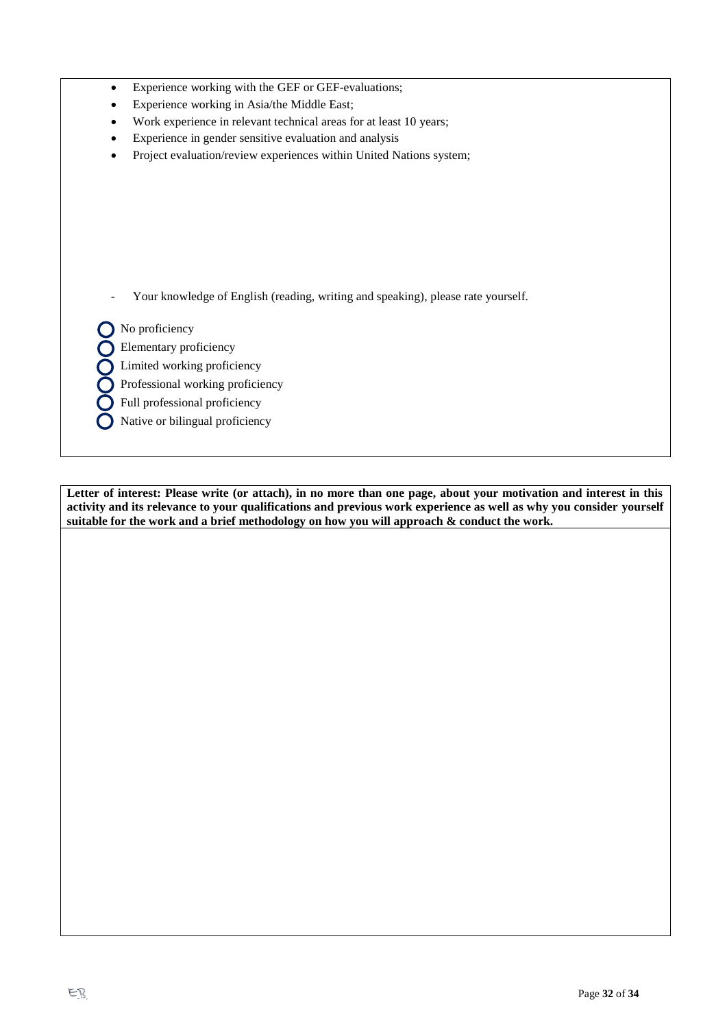- Experience working with the GEF or GEF-evaluations;
- Experience working in Asia/the Middle East;
- Work experience in relevant technical areas for at least 10 years;
- Experience in gender sensitive evaluation and analysis
- Project evaluation/review experiences within United Nations system;

Your knowledge of English (reading, writing and speaking), please rate yourself.

No proficiency

Elementary proficiency

Limited working proficiency

Professional working proficiency

Full professional proficiency

Native or bilingual proficiency

**Letter of interest: Please write (or attach), in no more than one page, about your motivation and interest in this activity and its relevance to your qualifications and previous work experience as well as why you consider yourself suitable for the work and a brief methodology on how you will approach & conduct the work.**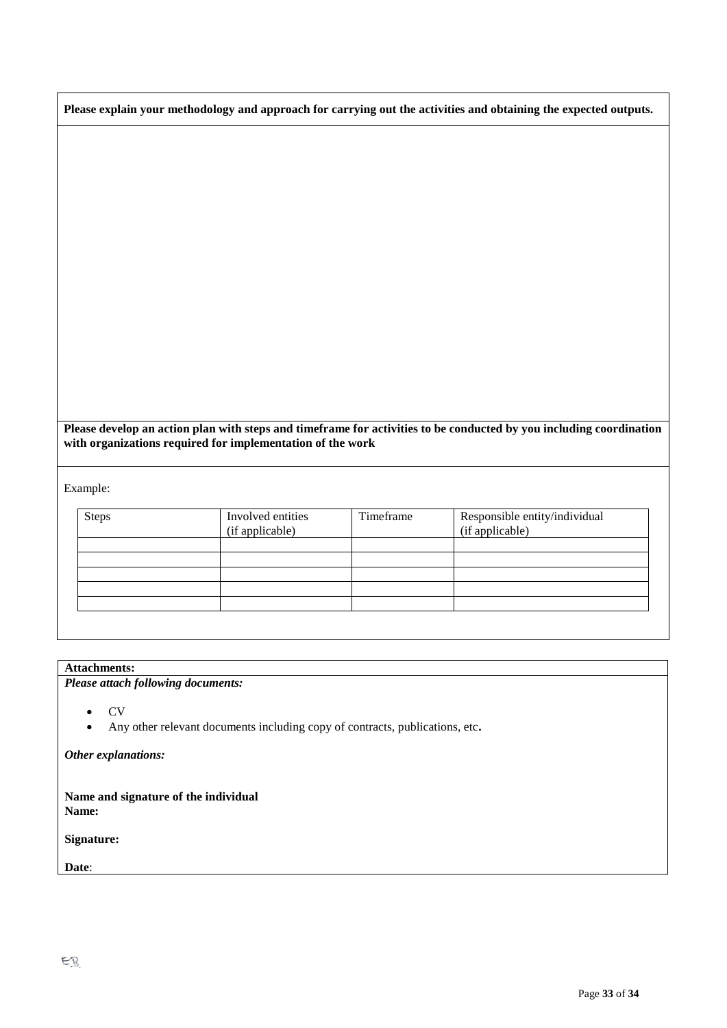|  | Please explain your methodology and approach for carrying out the activities and obtaining the expected outputs. |  |  |
|--|------------------------------------------------------------------------------------------------------------------|--|--|
|  |                                                                                                                  |  |  |

| Please develop an action plan with steps and timeframe for activities to be conducted by you including coordination |
|---------------------------------------------------------------------------------------------------------------------|
| with organizations required for implementation of the work                                                          |

Example:

| <b>Steps</b> | Involved entities<br>(if applicable) | Timeframe | Responsible entity/individual<br>(if applicable) |
|--------------|--------------------------------------|-----------|--------------------------------------------------|
|              |                                      |           |                                                  |
|              |                                      |           |                                                  |
|              |                                      |           |                                                  |
|              |                                      |           |                                                  |
|              |                                      |           |                                                  |
|              |                                      |           |                                                  |

# **Attachments:**

*Please attach following documents:*

- CV
- Any other relevant documents including copy of contracts, publications, etc**.**

*Other explanations:*

**Name and signature of the individual Name:** 

**Signature:**

**Date**: